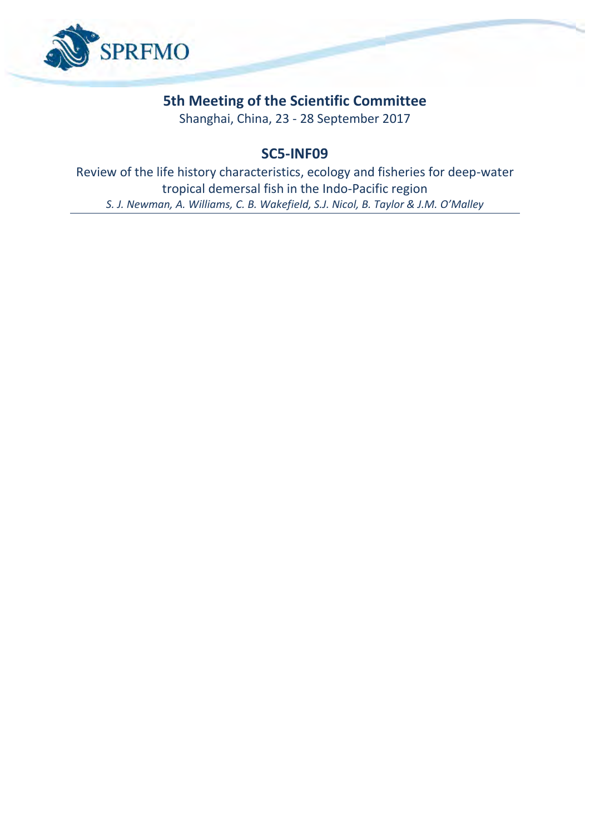

## **5th Meeting of the Scientific Committee**

Shanghai, China, 23 - 28 September 2017

## **SC5-INF09**

Review of the life history characteristics, ecology and fisheries for deep-water tropical demersal fish in the Indo-Pacific region *S. J. Newman, A. Williams, C. B. Wakefield, S.J. Nicol, B. Taylor & J.M. O'Malley*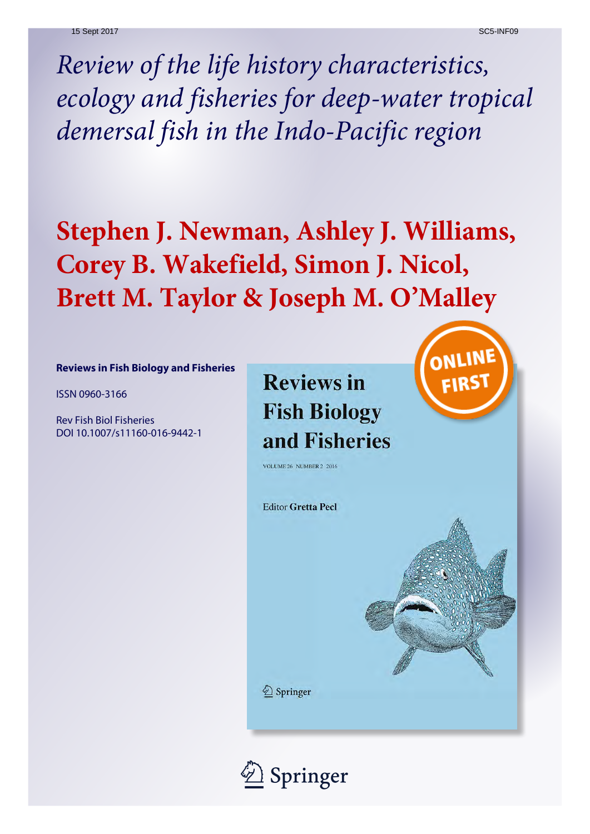*Review of the life history characteristics, ecology and fisheries for deep-water tropical demersal fish in the Indo-Pacific region*

# **Stephen J. Newman, Ashley J. Williams, Corey B. Wakefield, Simon J. Nicol, Brett M. Taylor & Joseph M. O'Malley**

#### **Reviews in Fish Biology and Fisheries**

ISSN 0960-3166

Rev Fish Biol Fisheries DOI 10.1007/s11160-016-9442-1 **Reviews in Fish Biology** and Fisheries



**VOLUME 26 NUMBER 2 2016** 

**Editor Gretta Pecl** 

2 Springer

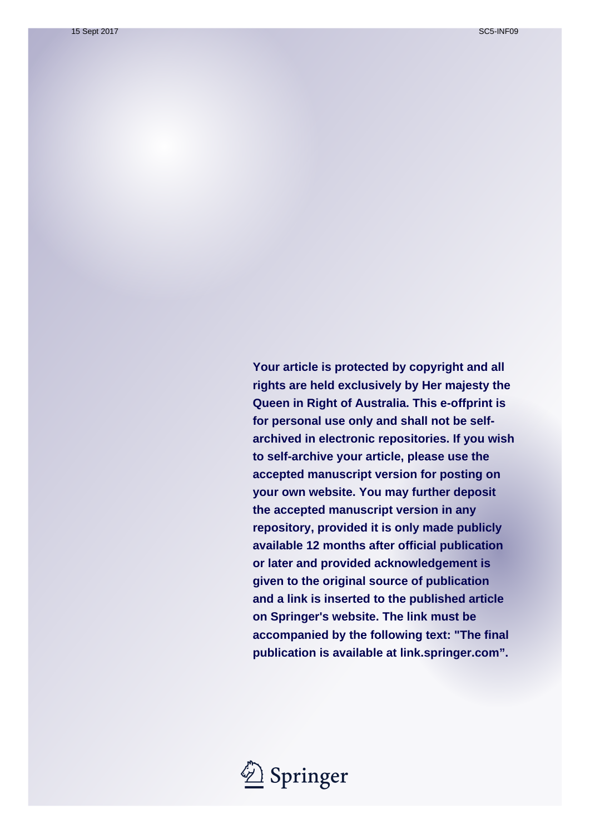**Your article is protected by copyright and all rights are held exclusively by Her majesty the Queen in Right of Australia. This e-offprint is for personal use only and shall not be selfarchived in electronic repositories. If you wish to self-archive your article, please use the accepted manuscript version for posting on your own website. You may further deposit the accepted manuscript version in any repository, provided it is only made publicly available 12 months after official publication or later and provided acknowledgement is given to the original source of publication and a link is inserted to the published article on Springer's website. The link must be accompanied by the following text: "The final publication is available at link.springer.com".**

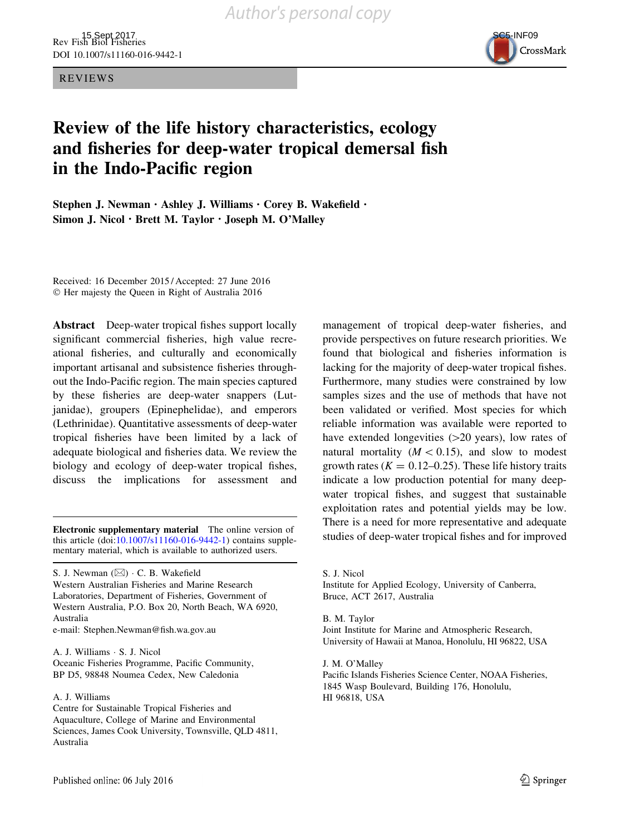REVIEWS



## Review of the life history characteristics, ecology and fisheries for deep-water tropical demersal fish in the Indo-Pacific region

Stephen J. Newman · Ashley J. Williams · Corey B. Wakefield · Simon J. Nicol · Brett M. Taylor · Joseph M. O'Malley

Received: 16 December 2015 / Accepted: 27 June 2016 © Her majesty the Queen in Right of Australia 2016

Abstract Deep-water tropical fishes support locally significant commercial fisheries, high value recreational fisheries, and culturally and economically important artisanal and subsistence fisheries throughout the Indo-Pacific region. The main species captured by these fisheries are deep-water snappers (Lutjanidae), groupers (Epinephelidae), and emperors (Lethrinidae). Quantitative assessments of deep-water tropical fisheries have been limited by a lack of adequate biological and fisheries data. We review the biology and ecology of deep-water tropical fishes, discuss the implications for assessment and

this article (doi[:10.1007/s11160-016-9442-1\)](http://dx.doi.org/10.1007/s11160-016-9442-1) contains supplementary material, which is available to authorized users.

S. J. Newman (⊠) · C. B. Wakefield Western Australian Fisheries and Marine Research Laboratories, Department of Fisheries, Government of Western Australia, P.O. Box 20, North Beach, WA 6920, Australia

e-mail: Stephen.Newman@fish.wa.gov.au

A. J. Williams - S. J. Nicol Oceanic Fisheries Programme, Pacific Community, BP D5, 98848 Noumea Cedex, New Caledonia

A. J. Williams

management of tropical deep-water fisheries, and provide perspectives on future research priorities. We found that biological and fisheries information is lacking for the majority of deep-water tropical fishes. Furthermore, many studies were constrained by low samples sizes and the use of methods that have not been validated or verified. Most species for which reliable information was available were reported to have extended longevities  $(>=20 \text{ years})$ , low rates of natural mortality  $(M < 0.15)$ , and slow to modest growth rates ( $K = 0.12{\text -}0.25$ ). These life history traits indicate a low production potential for many deepwater tropical fishes, and suggest that sustainable exploitation rates and potential yields may be low. There is a need for more representative and adequate Electronic supplementary material The online version of<br>this article (doi:10.1007/s11160.016.9442.1) contains supplementary material fishes and for improved

> S. J. Nicol Institute for Applied Ecology, University of Canberra, Bruce, ACT 2617, Australia

B. M. Taylor Joint Institute for Marine and Atmospheric Research, University of Hawaii at Manoa, Honolulu, HI 96822, USA

J. M. O'Malley Pacific Islands Fisheries Science Center, NOAA Fisheries, 1845 Wasp Boulevard, Building 176, Honolulu, HI 96818, USA

Centre for Sustainable Tropical Fisheries and Aquaculture, College of Marine and Environmental Sciences, James Cook University, Townsville, QLD 4811, Australia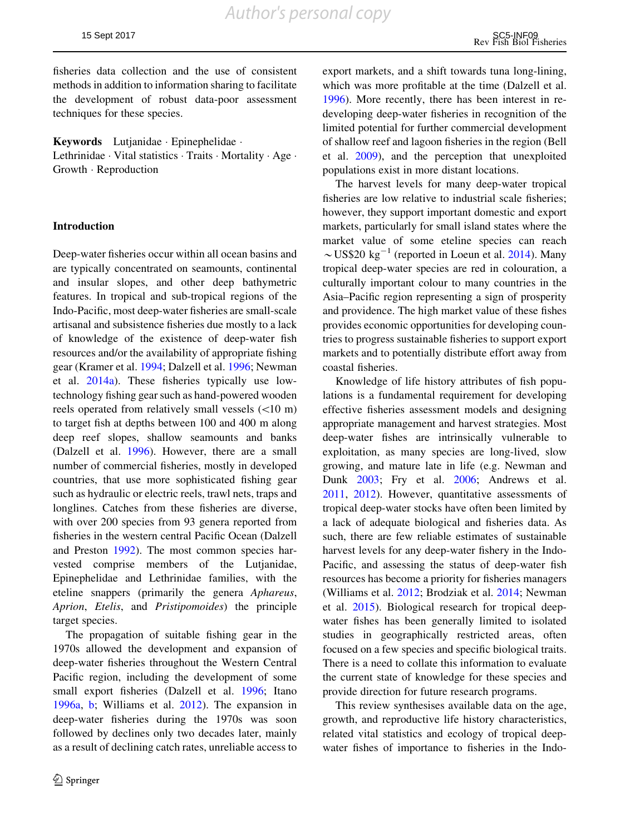*Author's personal copy*

fisheries data collection and the use of consistent methods in addition to information sharing to facilitate the development of robust data-poor assessment techniques for these species.

Keywords Lutjanidae - Epinephelidae - Lethrinidae · Vital statistics · Traits · Mortality · Age · Growth - Reproduction

#### Introduction

Deep-water fisheries occur within all ocean basins and are typically concentrated on seamounts, continental and insular slopes, and other deep bathymetric features. In tropical and sub-tropical regions of the Indo-Pacific, most deep-water fisheries are small-scale artisanal and subsistence fisheries due mostly to a lack of knowledge of the existence of deep-water fish resources and/or the availability of appropriate fishing gear (Kramer et al. [1994;](#page-25-0) Dalzell et al. [1996](#page-24-0); Newman et al. [2014a\)](#page-26-0). These fisheries typically use lowtechnology fishing gear such as hand-powered wooden reels operated from relatively small vessels  $(<10 m)$ to target fish at depths between 100 and 400 m along deep reef slopes, shallow seamounts and banks (Dalzell et al. [1996](#page-24-0)). However, there are a small number of commercial fisheries, mostly in developed countries, that use more sophisticated fishing gear such as hydraulic or electric reels, trawl nets, traps and longlines. Catches from these fisheries are diverse, with over 200 species from 93 genera reported from fisheries in the western central Pacific Ocean (Dalzell and Preston [1992\)](#page-24-0). The most common species harvested comprise members of the Lutjanidae, Epinephelidae and Lethrinidae families, with the eteline snappers (primarily the genera Aphareus, Aprion, Etelis, and Pristipomoides) the principle target species.

The propagation of suitable fishing gear in the 1970s allowed the development and expansion of deep-water fisheries throughout the Western Central Pacific region, including the development of some small export fisheries (Dalzell et al. [1996;](#page-24-0) Itano [1996a](#page-25-0), [b](#page-25-0); Williams et al. [2012\)](#page-28-0). The expansion in deep-water fisheries during the 1970s was soon followed by declines only two decades later, mainly as a result of declining catch rates, unreliable access to

export markets, and a shift towards tuna long-lining, which was more profitable at the time (Dalzell et al. [1996\)](#page-24-0). More recently, there has been interest in redeveloping deep-water fisheries in recognition of the limited potential for further commercial development of shallow reef and lagoon fisheries in the region (Bell et al. [2009\)](#page-23-0), and the perception that unexploited populations exist in more distant locations.

The harvest levels for many deep-water tropical fisheries are low relative to industrial scale fisheries; however, they support important domestic and export markets, particularly for small island states where the market value of some eteline species can reach  $\sim$ US\$20 kg<sup>-1</sup> (reported in Loeun et al. [2014\)](#page-25-0). Many tropical deep-water species are red in colouration, a culturally important colour to many countries in the Asia–Pacific region representing a sign of prosperity and providence. The high market value of these fishes provides economic opportunities for developing countries to progress sustainable fisheries to support export markets and to potentially distribute effort away from coastal fisheries.

Knowledge of life history attributes of fish populations is a fundamental requirement for developing effective fisheries assessment models and designing appropriate management and harvest strategies. Most deep-water fishes are intrinsically vulnerable to exploitation, as many species are long-lived, slow growing, and mature late in life (e.g. Newman and Dunk [2003;](#page-26-0) Fry et al. [2006;](#page-24-0) Andrews et al. [2011,](#page-23-0) [2012](#page-23-0)). However, quantitative assessments of tropical deep-water stocks have often been limited by a lack of adequate biological and fisheries data. As such, there are few reliable estimates of sustainable harvest levels for any deep-water fishery in the Indo-Pacific, and assessing the status of deep-water fish resources has become a priority for fisheries managers (Williams et al. [2012;](#page-28-0) Brodziak et al. [2014;](#page-23-0) Newman et al. [2015](#page-26-0)). Biological research for tropical deepwater fishes has been generally limited to isolated studies in geographically restricted areas, often focused on a few species and specific biological traits. There is a need to collate this information to evaluate the current state of knowledge for these species and provide direction for future research programs.

This review synthesises available data on the age, growth, and reproductive life history characteristics, related vital statistics and ecology of tropical deepwater fishes of importance to fisheries in the Indo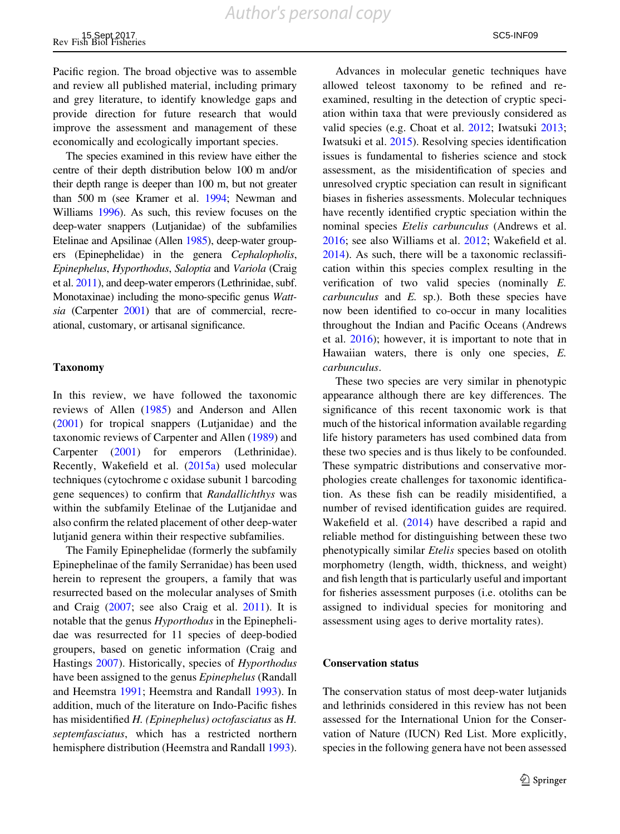Pacific region. The broad objective was to assemble and review all published material, including primary and grey literature, to identify knowledge gaps and provide direction for future research that would

economically and ecologically important species. The species examined in this review have either the centre of their depth distribution below 100 m and/or their depth range is deeper than 100 m, but not greater than 500 m (see Kramer et al. [1994](#page-25-0); Newman and Williams [1996\)](#page-26-0). As such, this review focuses on the deep-water snappers (Lutjanidae) of the subfamilies Etelinae and Apsilinae (Allen [1985](#page-23-0)), deep-water groupers (Epinephelidae) in the genera Cephalopholis, Epinephelus, Hyporthodus, Saloptia and Variola (Craig et al. [2011](#page-24-0)), and deep-water emperors (Lethrinidae, subf. Monotaxinae) including the mono-specific genus Wattsia (Carpenter [2001](#page-24-0)) that are of commercial, recreational, customary, or artisanal significance.

improve the assessment and management of these

#### Taxonomy

In this review, we have followed the taxonomic reviews of Allen ([1985\)](#page-23-0) and Anderson and Allen [\(2001](#page-23-0)) for tropical snappers (Lutjanidae) and the taxonomic reviews of Carpenter and Allen [\(1989](#page-24-0)) and Carpenter ([2001\)](#page-24-0) for emperors (Lethrinidae). Recently, Wakefield et al. [\(2015a\)](#page-28-0) used molecular techniques (cytochrome c oxidase subunit 1 barcoding gene sequences) to confirm that Randallichthys was within the subfamily Etelinae of the Lutjanidae and also confirm the related placement of other deep-water lutjanid genera within their respective subfamilies.

The Family Epinephelidae (formerly the subfamily Epinephelinae of the family Serranidae) has been used herein to represent the groupers, a family that was resurrected based on the molecular analyses of Smith and Craig ([2007;](#page-28-0) see also Craig et al. [2011](#page-24-0)). It is notable that the genus Hyporthodus in the Epinephelidae was resurrected for 11 species of deep-bodied groupers, based on genetic information (Craig and Hastings [2007\)](#page-24-0). Historically, species of Hyporthodus have been assigned to the genus Epinephelus (Randall and Heemstra [1991;](#page-27-0) Heemstra and Randall [1993\)](#page-24-0). In addition, much of the literature on Indo-Pacific fishes has misidentified H. (Epinephelus) octofasciatus as H. septemfasciatus, which has a restricted northern hemisphere distribution (Heemstra and Randall [1993](#page-24-0)).

Advances in molecular genetic techniques have allowed teleost taxonomy to be refined and reexamined, resulting in the detection of cryptic speciation within taxa that were previously considered as valid species (e.g. Choat et al. [2012](#page-24-0); Iwatsuki [2013](#page-25-0); Iwatsuki et al. [2015](#page-25-0)). Resolving species identification issues is fundamental to fisheries science and stock assessment, as the misidentification of species and unresolved cryptic speciation can result in significant biases in fisheries assessments. Molecular techniques have recently identified cryptic speciation within the nominal species Etelis carbunculus (Andrews et al. [2016;](#page-23-0) see also Williams et al. [2012;](#page-28-0) Wakefield et al. [2014\)](#page-28-0). As such, there will be a taxonomic reclassification within this species complex resulting in the verification of two valid species (nominally E.  $carbunculus$  and  $E$ . sp.). Both these species have now been identified to co-occur in many localities throughout the Indian and Pacific Oceans (Andrews et al. [2016](#page-23-0)); however, it is important to note that in Hawaiian waters, there is only one species, E. carbunculus.

These two species are very similar in phenotypic appearance although there are key differences. The significance of this recent taxonomic work is that much of the historical information available regarding life history parameters has used combined data from these two species and is thus likely to be confounded. These sympatric distributions and conservative morphologies create challenges for taxonomic identification. As these fish can be readily misidentified, a number of revised identification guides are required. Wakefield et al. [\(2014](#page-28-0)) have described a rapid and reliable method for distinguishing between these two phenotypically similar Etelis species based on otolith morphometry (length, width, thickness, and weight) and fish length that is particularly useful and important for fisheries assessment purposes (i.e. otoliths can be assigned to individual species for monitoring and assessment using ages to derive mortality rates).

#### Conservation status

The conservation status of most deep-water lutjanids and lethrinids considered in this review has not been assessed for the International Union for the Conservation of Nature (IUCN) Red List. More explicitly, species in the following genera have not been assessed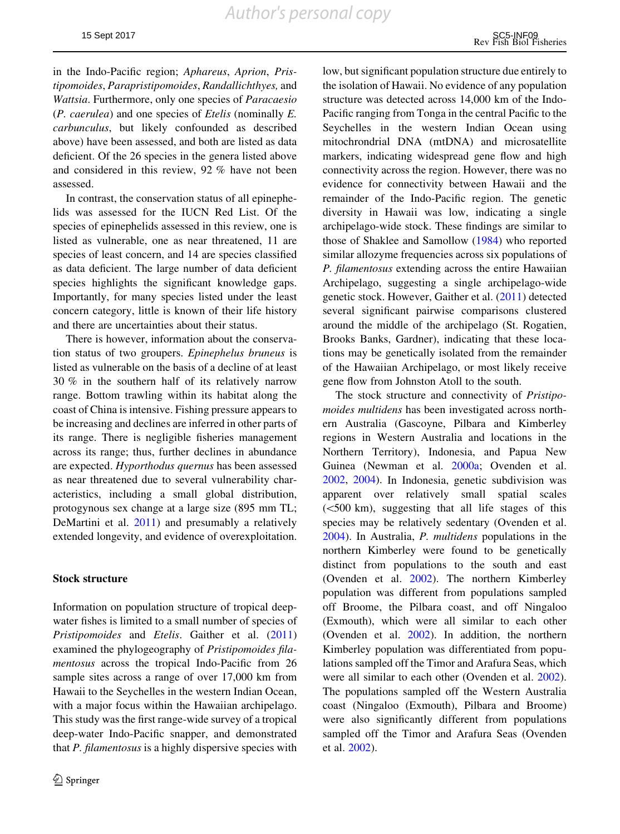in the Indo-Pacific region; Aphareus, Aprion, Pristipomoides, Parapristipomoides, Randallichthyes, and Wattsia. Furthermore, only one species of Paracaesio (P. caerulea) and one species of Etelis (nominally E. carbunculus, but likely confounded as described above) have been assessed, and both are listed as data deficient. Of the 26 species in the genera listed above and considered in this review, 92 % have not been assessed.

In contrast, the conservation status of all epinephelids was assessed for the IUCN Red List. Of the species of epinephelids assessed in this review, one is listed as vulnerable, one as near threatened, 11 are species of least concern, and 14 are species classified as data deficient. The large number of data deficient species highlights the significant knowledge gaps. Importantly, for many species listed under the least concern category, little is known of their life history and there are uncertainties about their status.

There is however, information about the conservation status of two groupers. Epinephelus bruneus is listed as vulnerable on the basis of a decline of at least 30 % in the southern half of its relatively narrow range. Bottom trawling within its habitat along the coast of China is intensive. Fishing pressure appears to be increasing and declines are inferred in other parts of its range. There is negligible fisheries management across its range; thus, further declines in abundance are expected. Hyporthodus quernus has been assessed as near threatened due to several vulnerability characteristics, including a small global distribution, protogynous sex change at a large size (895 mm TL; DeMartini et al. [2011](#page-24-0)) and presumably a relatively extended longevity, and evidence of overexploitation.

#### Stock structure

Information on population structure of tropical deepwater fishes is limited to a small number of species of Pristipomoides and Etelis. Gaither et al. ([2011\)](#page-24-0) examined the phylogeography of Pristipomoides filamentosus across the tropical Indo-Pacific from 26 sample sites across a range of over 17,000 km from Hawaii to the Seychelles in the western Indian Ocean, with a major focus within the Hawaiian archipelago. This study was the first range-wide survey of a tropical deep-water Indo-Pacific snapper, and demonstrated that P. filamentosus is a highly dispersive species with

low, but significant population structure due entirely to the isolation of Hawaii. No evidence of any population structure was detected across 14,000 km of the Indo-Pacific ranging from Tonga in the central Pacific to the Seychelles in the western Indian Ocean using mitochrondrial DNA (mtDNA) and microsatellite markers, indicating widespread gene flow and high connectivity across the region. However, there was no evidence for connectivity between Hawaii and the remainder of the Indo-Pacific region. The genetic diversity in Hawaii was low, indicating a single archipelago-wide stock. These findings are similar to those of Shaklee and Samollow [\(1984](#page-27-0)) who reported similar allozyme frequencies across six populations of P. filamentosus extending across the entire Hawaiian Archipelago, suggesting a single archipelago-wide genetic stock. However, Gaither et al. [\(2011](#page-24-0)) detected several significant pairwise comparisons clustered around the middle of the archipelago (St. Rogatien, Brooks Banks, Gardner), indicating that these locations may be genetically isolated from the remainder of the Hawaiian Archipelago, or most likely receive gene flow from Johnston Atoll to the south.

The stock structure and connectivity of Pristipomoides multidens has been investigated across northern Australia (Gascoyne, Pilbara and Kimberley regions in Western Australia and locations in the Northern Territory), Indonesia, and Papua New Guinea (Newman et al. [2000a](#page-26-0); Ovenden et al. [2002,](#page-27-0) [2004\)](#page-27-0). In Indonesia, genetic subdivision was apparent over relatively small spatial scales  $(<500$  km), suggesting that all life stages of this species may be relatively sedentary (Ovenden et al. [2004\)](#page-27-0). In Australia, P. multidens populations in the northern Kimberley were found to be genetically distinct from populations to the south and east (Ovenden et al. [2002\)](#page-27-0). The northern Kimberley population was different from populations sampled off Broome, the Pilbara coast, and off Ningaloo (Exmouth), which were all similar to each other (Ovenden et al. [2002\)](#page-27-0). In addition, the northern Kimberley population was differentiated from populations sampled off the Timor and Arafura Seas, which were all similar to each other (Ovenden et al. [2002](#page-27-0)). The populations sampled off the Western Australia coast (Ningaloo (Exmouth), Pilbara and Broome) were also significantly different from populations sampled off the Timor and Arafura Seas (Ovenden et al. [2002](#page-27-0)).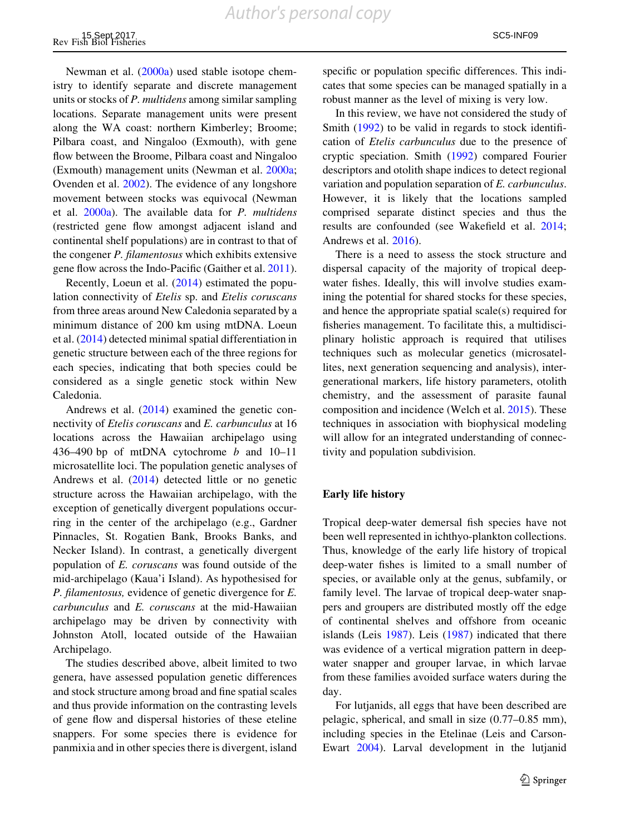Newman et al. ([2000a](#page-26-0)) used stable isotope chemistry to identify separate and discrete management units or stocks of P. multidens among similar sampling locations. Separate management units were present along the WA coast: northern Kimberley; Broome; Pilbara coast, and Ningaloo (Exmouth), with gene flow between the Broome, Pilbara coast and Ningaloo (Exmouth) management units (Newman et al. [2000a](#page-26-0); Ovenden et al. [2002\)](#page-27-0). The evidence of any longshore movement between stocks was equivocal (Newman et al.  $2000a$ ). The available data for  $P$ . multidens (restricted gene flow amongst adjacent island and continental shelf populations) are in contrast to that of the congener P. filamentosus which exhibits extensive gene flow across the Indo-Pacific (Gaither et al. [2011](#page-24-0)).

Recently, Loeun et al. [\(2014](#page-25-0)) estimated the population connectivity of Etelis sp. and Etelis coruscans from three areas around New Caledonia separated by a minimum distance of 200 km using mtDNA. Loeun et al. ([2014\)](#page-25-0) detected minimal spatial differentiation in genetic structure between each of the three regions for each species, indicating that both species could be considered as a single genetic stock within New Caledonia.

Andrews et al. ([2014\)](#page-23-0) examined the genetic connectivity of Etelis coruscans and E. carbunculus at 16 locations across the Hawaiian archipelago using 436–490 bp of mtDNA cytochrome  $b$  and 10–11 microsatellite loci. The population genetic analyses of Andrews et al. ([2014\)](#page-23-0) detected little or no genetic structure across the Hawaiian archipelago, with the exception of genetically divergent populations occurring in the center of the archipelago (e.g., Gardner Pinnacles, St. Rogatien Bank, Brooks Banks, and Necker Island). In contrast, a genetically divergent population of E. coruscans was found outside of the mid-archipelago (Kaua'i Island). As hypothesised for P. filamentosus, evidence of genetic divergence for E. carbunculus and E. coruscans at the mid-Hawaiian archipelago may be driven by connectivity with Johnston Atoll, located outside of the Hawaiian Archipelago.

The studies described above, albeit limited to two genera, have assessed population genetic differences and stock structure among broad and fine spatial scales and thus provide information on the contrasting levels of gene flow and dispersal histories of these eteline snappers. For some species there is evidence for panmixia and in other species there is divergent, island

specific or population specific differences. This indicates that some species can be managed spatially in a robust manner as the level of mixing is very low.

In this review, we have not considered the study of Smith [\(1992](#page-27-0)) to be valid in regards to stock identification of Etelis carbunculus due to the presence of cryptic speciation. Smith [\(1992](#page-27-0)) compared Fourier descriptors and otolith shape indices to detect regional variation and population separation of E. carbunculus. However, it is likely that the locations sampled comprised separate distinct species and thus the results are confounded (see Wakefield et al. [2014](#page-28-0); Andrews et al. [2016](#page-23-0)).

There is a need to assess the stock structure and dispersal capacity of the majority of tropical deepwater fishes. Ideally, this will involve studies examining the potential for shared stocks for these species, and hence the appropriate spatial scale(s) required for fisheries management. To facilitate this, a multidisciplinary holistic approach is required that utilises techniques such as molecular genetics (microsatellites, next generation sequencing and analysis), intergenerational markers, life history parameters, otolith chemistry, and the assessment of parasite faunal composition and incidence (Welch et al. [2015](#page-28-0)). These techniques in association with biophysical modeling will allow for an integrated understanding of connectivity and population subdivision.

#### Early life history

Tropical deep-water demersal fish species have not been well represented in ichthyo-plankton collections. Thus, knowledge of the early life history of tropical deep-water fishes is limited to a small number of species, or available only at the genus, subfamily, or family level. The larvae of tropical deep-water snappers and groupers are distributed mostly off the edge of continental shelves and offshore from oceanic islands (Leis [1987](#page-25-0)). Leis [\(1987](#page-25-0)) indicated that there was evidence of a vertical migration pattern in deepwater snapper and grouper larvae, in which larvae from these families avoided surface waters during the day.

For lutjanids, all eggs that have been described are pelagic, spherical, and small in size (0.77–0.85 mm), including species in the Etelinae (Leis and Carson-Ewart [2004\)](#page-25-0). Larval development in the lutjanid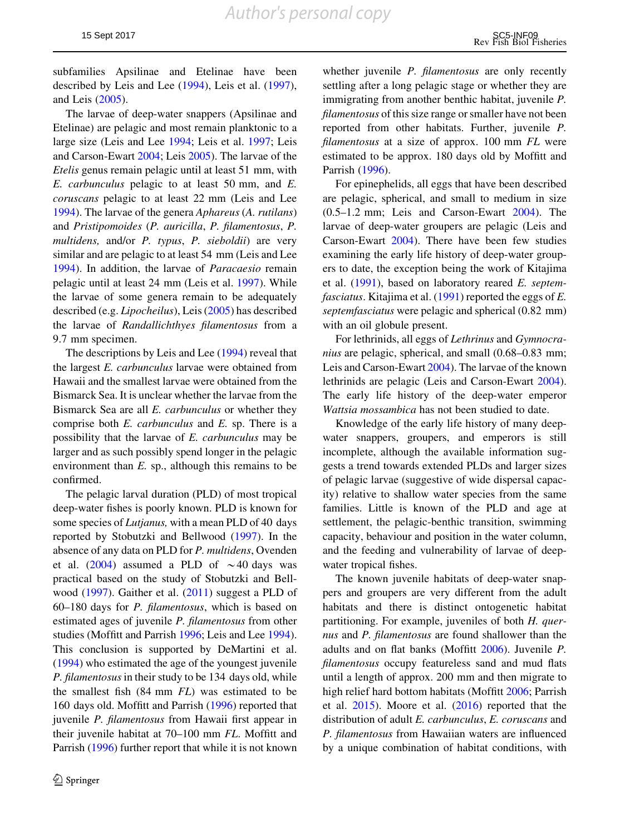subfamilies Apsilinae and Etelinae have been described by Leis and Lee ([1994\)](#page-25-0), Leis et al. [\(1997](#page-25-0)), and Leis [\(2005](#page-25-0)).

The larvae of deep-water snappers (Apsilinae and Etelinae) are pelagic and most remain planktonic to a large size (Leis and Lee [1994;](#page-25-0) Leis et al. [1997;](#page-25-0) Leis and Carson-Ewart [2004](#page-25-0); Leis [2005](#page-25-0)). The larvae of the Etelis genus remain pelagic until at least 51 mm, with E. carbunculus pelagic to at least 50 mm, and E. coruscans pelagic to at least 22 mm (Leis and Lee [1994\)](#page-25-0). The larvae of the genera Aphareus (A. rutilans) and Pristipomoides (P. auricilla, P. filamentosus, P. multidens, and/or P. typus, P. sieboldii) are very similar and are pelagic to at least 54 mm (Leis and Lee [1994\)](#page-25-0). In addition, the larvae of Paracaesio remain pelagic until at least 24 mm (Leis et al. [1997\)](#page-25-0). While the larvae of some genera remain to be adequately described (e.g. Lipocheilus), Leis ([2005](#page-25-0)) has described the larvae of Randallichthyes filamentosus from a 9.7 mm specimen.

The descriptions by Leis and Lee ([1994\)](#page-25-0) reveal that the largest E. carbunculus larvae were obtained from Hawaii and the smallest larvae were obtained from the Bismarck Sea. It is unclear whether the larvae from the Bismarck Sea are all E. carbunculus or whether they comprise both  $E$ . *carbunculus* and  $E$ . sp. There is a possibility that the larvae of E. carbunculus may be larger and as such possibly spend longer in the pelagic environment than  $E$ . sp., although this remains to be confirmed.

The pelagic larval duration (PLD) of most tropical deep-water fishes is poorly known. PLD is known for some species of *Lutjanus*, with a mean PLD of 40 days reported by Stobutzki and Bellwood [\(1997](#page-28-0)). In the absence of any data on PLD for P. multidens, Ovenden et al. [\(2004](#page-27-0)) assumed a PLD of  $\sim$  40 days was practical based on the study of Stobutzki and Bellwood [\(1997](#page-28-0)). Gaither et al. ([2011](#page-24-0)) suggest a PLD of 60–180 days for P. filamentosus, which is based on estimated ages of juvenile P. filamentosus from other studies (Moffitt and Parrish [1996;](#page-26-0) Leis and Lee [1994](#page-25-0)). This conclusion is supported by DeMartini et al. [\(1994](#page-24-0)) who estimated the age of the youngest juvenile P. filamentosus in their study to be 134 days old, while the smallest fish  $(84 \text{ mm } FL)$  was estimated to be 160 days old. Moffitt and Parrish [\(1996](#page-26-0)) reported that juvenile P. filamentosus from Hawaii first appear in their juvenile habitat at 70–100 mm FL. Moffitt and Parrish ([1996\)](#page-26-0) further report that while it is not known

whether juvenile *P. filamentosus* are only recently settling after a long pelagic stage or whether they are immigrating from another benthic habitat, juvenile P. filamentosus of this size range or smaller have not been reported from other habitats. Further, juvenile P. filamentosus at a size of approx. 100 mm FL were estimated to be approx. 180 days old by Moffitt and Parrish [\(1996](#page-26-0)).

For epinephelids, all eggs that have been described are pelagic, spherical, and small to medium in size (0.5–1.2 mm; Leis and Carson-Ewart [2004\)](#page-25-0). The larvae of deep-water groupers are pelagic (Leis and Carson-Ewart [2004](#page-25-0)). There have been few studies examining the early life history of deep-water groupers to date, the exception being the work of Kitajima et al. ([1991\)](#page-25-0), based on laboratory reared E. septem*fasciatus*. Kitajima et al.  $(1991)$  $(1991)$  reported the eggs of E. septemfasciatus were pelagic and spherical (0.82 mm) with an oil globule present.

For lethrinids, all eggs of Lethrinus and Gymnocranius are pelagic, spherical, and small (0.68–0.83 mm; Leis and Carson-Ewart [2004\)](#page-25-0). The larvae of the known lethrinids are pelagic (Leis and Carson-Ewart [2004](#page-25-0)). The early life history of the deep-water emperor Wattsia mossambica has not been studied to date.

Knowledge of the early life history of many deepwater snappers, groupers, and emperors is still incomplete, although the available information suggests a trend towards extended PLDs and larger sizes of pelagic larvae (suggestive of wide dispersal capacity) relative to shallow water species from the same families. Little is known of the PLD and age at settlement, the pelagic-benthic transition, swimming capacity, behaviour and position in the water column, and the feeding and vulnerability of larvae of deepwater tropical fishes.

The known juvenile habitats of deep-water snappers and groupers are very different from the adult habitats and there is distinct ontogenetic habitat partitioning. For example, juveniles of both H. quernus and P. filamentosus are found shallower than the adults and on flat banks (Moffitt [2006\)](#page-25-0). Juvenile P. filamentosus occupy featureless sand and mud flats until a length of approx. 200 mm and then migrate to high relief hard bottom habitats (Moffitt [2006;](#page-25-0) Parrish et al. [2015](#page-27-0)). Moore et al. [\(2016](#page-26-0)) reported that the distribution of adult E. carbunculus, E. coruscans and P. filamentosus from Hawaiian waters are influenced by a unique combination of habitat conditions, with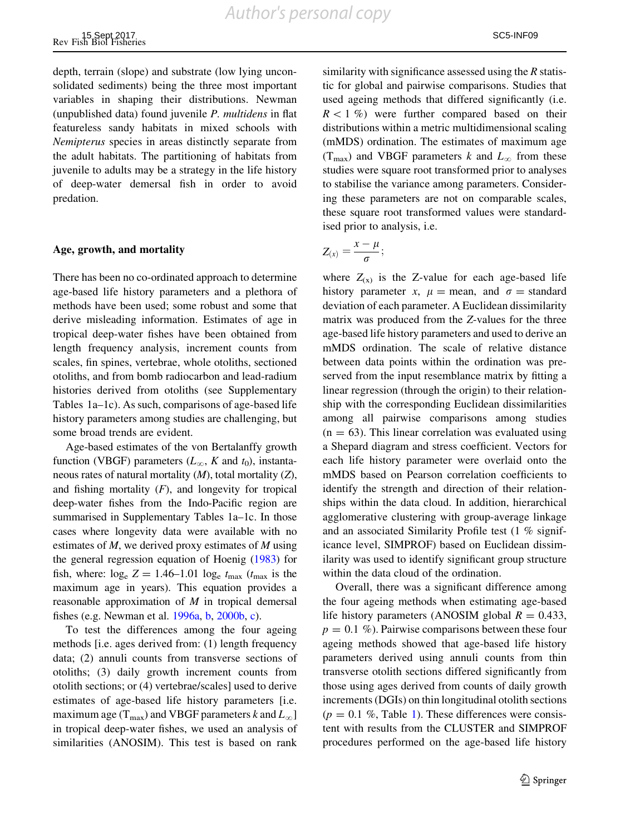depth, terrain (slope) and substrate (low lying unconsolidated sediments) being the three most important variables in shaping their distributions. Newman (unpublished data) found juvenile  $P$ . multidens in flat featureless sandy habitats in mixed schools with Nemipterus species in areas distinctly separate from the adult habitats. The partitioning of habitats from juvenile to adults may be a strategy in the life history of deep-water demersal fish in order to avoid predation.

#### Age, growth, and mortality

There has been no co-ordinated approach to determine age-based life history parameters and a plethora of methods have been used; some robust and some that derive misleading information. Estimates of age in tropical deep-water fishes have been obtained from length frequency analysis, increment counts from scales, fin spines, vertebrae, whole otoliths, sectioned otoliths, and from bomb radiocarbon and lead-radium histories derived from otoliths (see Supplementary Tables 1a–1c). As such, comparisons of age-based life history parameters among studies are challenging, but some broad trends are evident.

Age-based estimates of the von Bertalanffy growth function (VBGF) parameters  $(L_{\infty}, K$  and  $t_0$ ), instantaneous rates of natural mortality  $(M)$ , total mortality  $(Z)$ , and fishing mortality  $(F)$ , and longevity for tropical deep-water fishes from the Indo-Pacific region are summarised in Supplementary Tables 1a–1c. In those cases where longevity data were available with no estimates of  $M$ , we derived proxy estimates of  $M$  using the general regression equation of Hoenig [\(1983\)](#page-25-0) for fish, where:  $log_e Z = 1.46{\text -}1.01 log_e t_{max}$  ( $t_{max}$  is the maximum age in years). This equation provides a reasonable approximation of  $M$  in tropical demersal fishes (e.g. Newman et al. [1996a](#page-26-0), [b](#page-26-0), [2000b,](#page-26-0) [c](#page-26-0)).

To test the differences among the four ageing methods [i.e. ages derived from: (1) length frequency data; (2) annuli counts from transverse sections of otoliths; (3) daily growth increment counts from otolith sections; or (4) vertebrae/scales] used to derive estimates of age-based life history parameters [i.e. maximum age ( $T_{\text{max}}$ ) and VBGF parameters k and  $L_{\infty}$ ] in tropical deep-water fishes, we used an analysis of similarities (ANOSIM). This test is based on rank similarity with significance assessed using the  *statis*tic for global and pairwise comparisons. Studies that used ageing methods that differed significantly (i.e.  $R<1$  %) were further compared based on their distributions within a metric multidimensional scaling (mMDS) ordination. The estimates of maximum age  $(T_{\text{max}})$  and VBGF parameters k and  $L_{\infty}$  from these studies were square root transformed prior to analyses to stabilise the variance among parameters. Considering these parameters are not on comparable scales, these square root transformed values were standardised prior to analysis, i.e.

$$
Z_{(x)}=\frac{x-\mu}{\sigma};
$$

where  $Z_{(x)}$  is the Z-value for each age-based life history parameter x,  $\mu$  = mean, and  $\sigma$  = standard deviation of each parameter. A Euclidean dissimilarity matrix was produced from the Z-values for the three age-based life history parameters and used to derive an mMDS ordination. The scale of relative distance between data points within the ordination was preserved from the input resemblance matrix by fitting a linear regression (through the origin) to their relationship with the corresponding Euclidean dissimilarities among all pairwise comparisons among studies  $(n = 63)$ . This linear correlation was evaluated using a Shepard diagram and stress coefficient. Vectors for each life history parameter were overlaid onto the mMDS based on Pearson correlation coefficients to identify the strength and direction of their relationships within the data cloud. In addition, hierarchical agglomerative clustering with group-average linkage and an associated Similarity Profile test (1 % significance level, SIMPROF) based on Euclidean dissimilarity was used to identify significant group structure within the data cloud of the ordination.

Overall, there was a significant difference among the four ageing methods when estimating age-based life history parameters (ANOSIM global  $R = 0.433$ ,  $p = 0.1 \%$ ). Pairwise comparisons between these four ageing methods showed that age-based life history parameters derived using annuli counts from thin transverse otolith sections differed significantly from those using ages derived from counts of daily growth increments (DGIs) on thin longitudinal otolith sections  $(p = 0.1 \, \%$ , Table [1\)](#page-10-0). These differences were consistent with results from the CLUSTER and SIMPROF procedures performed on the age-based life history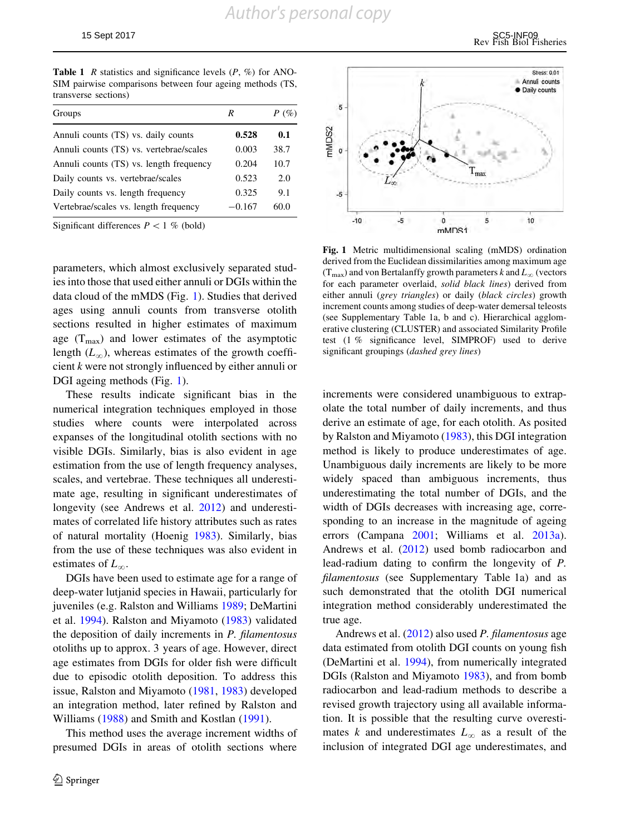<span id="page-10-0"></span>**Table 1** R statistics and significance levels  $(P, \%)$  for ANO-SIM pairwise comparisons between four ageing methods (TS, transverse sections)

| Groups                                  | R        | $P(\%)$ |
|-----------------------------------------|----------|---------|
| Annuli counts (TS) vs. daily counts     | 0.528    | 0.1     |
| Annuli counts (TS) vs. vertebrae/scales | 0.003    | 38.7    |
| Annuli counts (TS) vs. length frequency | 0.204    | 10.7    |
| Daily counts vs. vertebrae/scales       | 0.523    | 2.0     |
| Daily counts vs. length frequency       | 0.325    | 9.1     |
| Vertebrae/scales vs. length frequency   | $-0.167$ | 60.0    |

Significant differences  $P < 1$  % (bold)

parameters, which almost exclusively separated studies into those that used either annuli or DGIs within the data cloud of the mMDS (Fig. 1). Studies that derived ages using annuli counts from transverse otolith sections resulted in higher estimates of maximum age  $(T_{\text{max}})$  and lower estimates of the asymptotic length  $(L_{\infty})$ , whereas estimates of the growth coefficient k were not strongly influenced by either annuli or DGI ageing methods (Fig. 1).

These results indicate significant bias in the numerical integration techniques employed in those studies where counts were interpolated across expanses of the longitudinal otolith sections with no visible DGIs. Similarly, bias is also evident in age estimation from the use of length frequency analyses, scales, and vertebrae. These techniques all underestimate age, resulting in significant underestimates of longevity (see Andrews et al. [2012\)](#page-23-0) and underestimates of correlated life history attributes such as rates of natural mortality (Hoenig [1983](#page-25-0)). Similarly, bias from the use of these techniques was also evident in estimates of  $L_{\infty}$ .

DGIs have been used to estimate age for a range of deep-water lutjanid species in Hawaii, particularly for juveniles (e.g. Ralston and Williams [1989](#page-27-0); DeMartini et al. [1994](#page-24-0)). Ralston and Miyamoto ([1983\)](#page-27-0) validated the deposition of daily increments in P. filamentosus otoliths up to approx. 3 years of age. However, direct age estimates from DGIs for older fish were difficult due to episodic otolith deposition. To address this issue, Ralston and Miyamoto ([1981,](#page-27-0) [1983](#page-27-0)) developed an integration method, later refined by Ralston and Williams ([1988\)](#page-27-0) and Smith and Kostlan [\(1991](#page-28-0)).

This method uses the average increment widths of presumed DGIs in areas of otolith sections where



Fig. 1 Metric multidimensional scaling (mMDS) ordination derived from the Euclidean dissimilarities among maximum age  $(T_{\text{max}})$  and von Bertalanffy growth parameters k and  $L_{\infty}$  (vectors for each parameter overlaid, solid black lines) derived from either annuli (grey triangles) or daily (black circles) growth increment counts among studies of deep-water demersal teleosts (see Supplementary Table 1a, b and c). Hierarchical agglomerative clustering (CLUSTER) and associated Similarity Profile test (1 % significance level, SIMPROF) used to derive significant groupings (dashed grey lines)

increments were considered unambiguous to extrapolate the total number of daily increments, and thus derive an estimate of age, for each otolith. As posited by Ralston and Miyamoto ([1983\)](#page-27-0), this DGI integration method is likely to produce underestimates of age. Unambiguous daily increments are likely to be more widely spaced than ambiguous increments, thus underestimating the total number of DGIs, and the width of DGIs decreases with increasing age, corresponding to an increase in the magnitude of ageing errors (Campana [2001;](#page-23-0) Williams et al. [2013a](#page-28-0)). Andrews et al. [\(2012](#page-23-0)) used bomb radiocarbon and lead-radium dating to confirm the longevity of P. filamentosus (see Supplementary Table 1a) and as such demonstrated that the otolith DGI numerical integration method considerably underestimated the true age.

Andrews et al. [\(2012](#page-23-0)) also used P. filamentosus age data estimated from otolith DGI counts on young fish (DeMartini et al. [1994\)](#page-24-0), from numerically integrated DGIs (Ralston and Miyamoto [1983\)](#page-27-0), and from bomb radiocarbon and lead-radium methods to describe a revised growth trajectory using all available information. It is possible that the resulting curve overestimates k and underestimates  $L_{\infty}$  as a result of the inclusion of integrated DGI age underestimates, and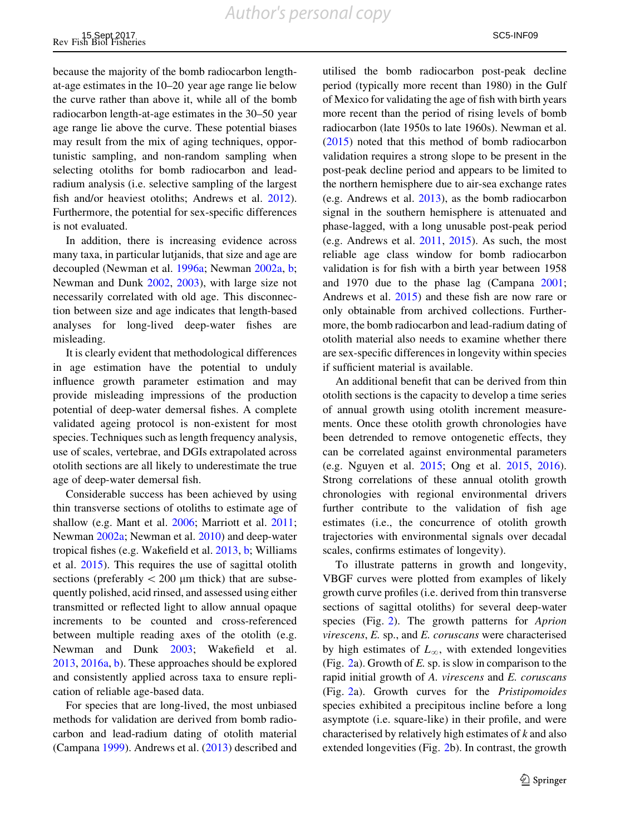because the majority of the bomb radiocarbon lengthat-age estimates in the 10–20 year age range lie below the curve rather than above it, while all of the bomb radiocarbon length-at-age estimates in the 30–50 year age range lie above the curve. These potential biases may result from the mix of aging techniques, opportunistic sampling, and non-random sampling when selecting otoliths for bomb radiocarbon and leadradium analysis (i.e. selective sampling of the largest fish and/or heaviest otoliths; Andrews et al. [2012](#page-23-0)). Furthermore, the potential for sex-specific differences is not evaluated.

In addition, there is increasing evidence across many taxa, in particular lutjanids, that size and age are decoupled (Newman et al. [1996a](#page-26-0); Newman [2002a](#page-26-0), [b](#page-26-0); Newman and Dunk [2002](#page-26-0), [2003](#page-26-0)), with large size not necessarily correlated with old age. This disconnection between size and age indicates that length-based analyses for long-lived deep-water fishes are misleading.

It is clearly evident that methodological differences in age estimation have the potential to unduly influence growth parameter estimation and may provide misleading impressions of the production potential of deep-water demersal fishes. A complete validated ageing protocol is non-existent for most species. Techniques such as length frequency analysis, use of scales, vertebrae, and DGIs extrapolated across otolith sections are all likely to underestimate the true age of deep-water demersal fish.

Considerable success has been achieved by using thin transverse sections of otoliths to estimate age of shallow (e.g. Mant et al. [2006;](#page-25-0) Marriott et al. [2011](#page-25-0); Newman [2002a;](#page-26-0) Newman et al. [2010](#page-26-0)) and deep-water tropical fishes (e.g. Wakefield et al. [2013](#page-28-0), [b](#page-28-0); Williams et al. [2015](#page-28-0)). This requires the use of sagittal otolith sections (preferably  $\langle 200 \mu m$  thick) that are subsequently polished, acid rinsed, and assessed using either transmitted or reflected light to allow annual opaque increments to be counted and cross-referenced between multiple reading axes of the otolith (e.g. Newman and Dunk [2003](#page-26-0); Wakefield et al. [2013,](#page-28-0) [2016a,](#page-28-0) [b\)](#page-28-0). These approaches should be explored and consistently applied across taxa to ensure replication of reliable age-based data.

For species that are long-lived, the most unbiased methods for validation are derived from bomb radiocarbon and lead-radium dating of otolith material (Campana [1999](#page-23-0)). Andrews et al. ([2013](#page-23-0)) described and utilised the bomb radiocarbon post-peak decline period (typically more recent than 1980) in the Gulf of Mexico for validating the age of fish with birth years more recent than the period of rising levels of bomb radiocarbon (late 1950s to late 1960s). Newman et al. [\(2015](#page-26-0)) noted that this method of bomb radiocarbon validation requires a strong slope to be present in the post-peak decline period and appears to be limited to the northern hemisphere due to air-sea exchange rates (e.g. Andrews et al. [2013](#page-23-0)), as the bomb radiocarbon signal in the southern hemisphere is attenuated and phase-lagged, with a long unusable post-peak period (e.g. Andrews et al. [2011](#page-23-0), [2015](#page-23-0)). As such, the most reliable age class window for bomb radiocarbon validation is for fish with a birth year between 1958 and 1970 due to the phase lag (Campana [2001](#page-23-0); Andrews et al. [2015\)](#page-23-0) and these fish are now rare or only obtainable from archived collections. Furthermore, the bomb radiocarbon and lead-radium dating of otolith material also needs to examine whether there are sex-specific differences in longevity within species if sufficient material is available.

An additional benefit that can be derived from thin otolith sections is the capacity to develop a time series of annual growth using otolith increment measurements. Once these otolith growth chronologies have been detrended to remove ontogenetic effects, they can be correlated against environmental parameters (e.g. Nguyen et al. [2015;](#page-26-0) Ong et al. [2015](#page-27-0), [2016](#page-27-0)). Strong correlations of these annual otolith growth chronologies with regional environmental drivers further contribute to the validation of fish age estimates (i.e., the concurrence of otolith growth trajectories with environmental signals over decadal scales, confirms estimates of longevity).

To illustrate patterns in growth and longevity, VBGF curves were plotted from examples of likely growth curve profiles (i.e. derived from thin transverse sections of sagittal otoliths) for several deep-water species (Fig. [2\)](#page-12-0). The growth patterns for *Aprion* virescens, E. sp., and E. coruscans were characterised by high estimates of  $L_{\infty}$ , with extended longevities (Fig. [2](#page-12-0)a). Growth of E. sp. is slow in comparison to the rapid initial growth of A. virescens and E. coruscans (Fig. [2](#page-12-0)a). Growth curves for the Pristipomoides species exhibited a precipitous incline before a long asymptote (i.e. square-like) in their profile, and were characterised by relatively high estimates of k and also extended longevities (Fig. [2](#page-12-0)b). In contrast, the growth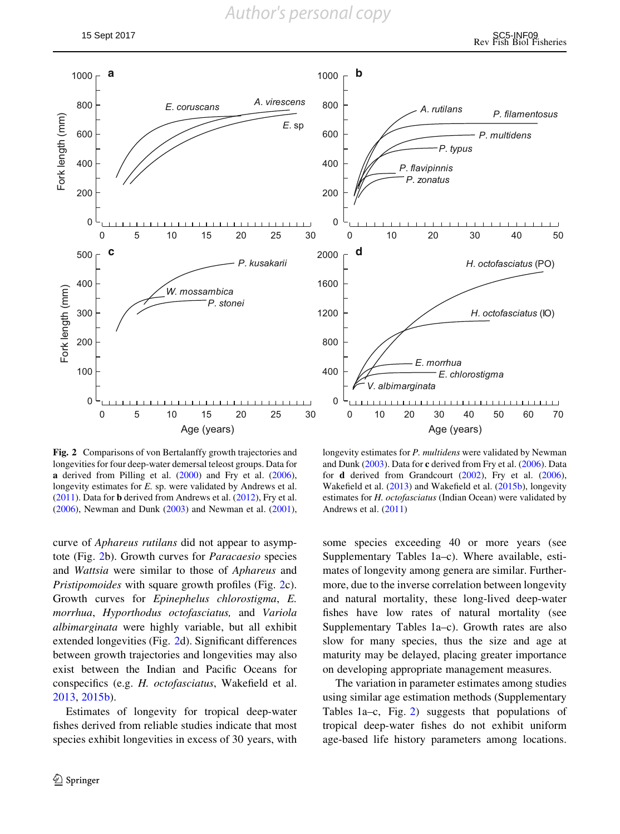<span id="page-12-0"></span>

Fig. 2 Comparisons of von Bertalanffy growth trajectories and longevities for four deep-water demersal teleost groups. Data for a derived from Pilling et al. [\(2000](#page-27-0)) and Fry et al. [\(2006](#page-24-0)), longevity estimates for E. sp. were validated by Andrews et al. ([2011\)](#page-23-0). Data for b derived from Andrews et al. ([2012\)](#page-23-0), Fry et al. ([2006\)](#page-24-0), Newman and Dunk ([2003\)](#page-26-0) and Newman et al.  $(2001)$  $(2001)$ ,

curve of Aphareus rutilans did not appear to asymptote (Fig. 2b). Growth curves for Paracaesio species and Wattsia were similar to those of Aphareus and Pristipomoides with square growth profiles (Fig. 2c). Growth curves for Epinephelus chlorostigma, E. morrhua, Hyporthodus octofasciatus, and Variola albimarginata were highly variable, but all exhibit extended longevities (Fig. 2d). Significant differences between growth trajectories and longevities may also exist between the Indian and Pacific Oceans for conspecifics (e.g. H. octofasciatus, Wakefield et al. [2013,](#page-28-0) [2015b](#page-28-0)).

Estimates of longevity for tropical deep-water fishes derived from reliable studies indicate that most species exhibit longevities in excess of 30 years, with

longevity estimates for P. multidens were validated by Newman and Dunk [\(2003](#page-26-0)). Data for c derived from Fry et al. ([2006\)](#page-24-0). Data for d derived from Grandcourt ([2002\)](#page-24-0), Fry et al. [\(2006](#page-24-0)), Wakefield et al. [\(2013\)](#page-28-0) and Wakefield et al. ([2015b](#page-28-0)), longevity estimates for H. octofasciatus (Indian Ocean) were validated by Andrews et al. ([2011\)](#page-23-0)

some species exceeding 40 or more years (see Supplementary Tables 1a–c). Where available, estimates of longevity among genera are similar. Furthermore, due to the inverse correlation between longevity and natural mortality, these long-lived deep-water fishes have low rates of natural mortality (see Supplementary Tables 1a–c). Growth rates are also slow for many species, thus the size and age at maturity may be delayed, placing greater importance on developing appropriate management measures.

The variation in parameter estimates among studies using similar age estimation methods (Supplementary Tables 1a–c, Fig. 2) suggests that populations of tropical deep-water fishes do not exhibit uniform age-based life history parameters among locations.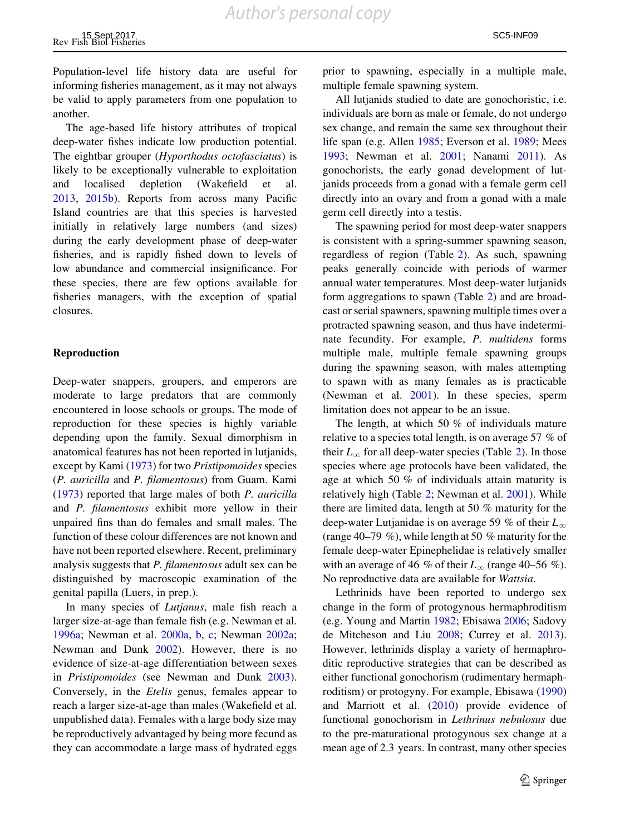Population-level life history data are useful for informing fisheries management, as it may not always be valid to apply parameters from one population to another.

The age-based life history attributes of tropical deep-water fishes indicate low production potential. The eightbar grouper (Hyporthodus octofasciatus) is likely to be exceptionally vulnerable to exploitation and localised depletion (Wakefield et al. [2013,](#page-28-0) [2015b](#page-28-0)). Reports from across many Pacific Island countries are that this species is harvested initially in relatively large numbers (and sizes) during the early development phase of deep-water fisheries, and is rapidly fished down to levels of low abundance and commercial insignificance. For these species, there are few options available for fisheries managers, with the exception of spatial closures.

#### Reproduction

Deep-water snappers, groupers, and emperors are moderate to large predators that are commonly encountered in loose schools or groups. The mode of reproduction for these species is highly variable depending upon the family. Sexual dimorphism in anatomical features has not been reported in lutjanids, except by Kami ([1973\)](#page-25-0) for two Pristipomoides species (P. auricilla and P. filamentosus) from Guam. Kami [\(1973](#page-25-0)) reported that large males of both P. auricilla and P. filamentosus exhibit more yellow in their unpaired fins than do females and small males. The function of these colour differences are not known and have not been reported elsewhere. Recent, preliminary analysis suggests that P. filamentosus adult sex can be distinguished by macroscopic examination of the genital papilla (Luers, in prep.).

In many species of Lutjanus, male fish reach a larger size-at-age than female fish (e.g. Newman et al. [1996a](#page-26-0); Newman et al. [2000a,](#page-26-0) [b,](#page-26-0) [c;](#page-26-0) Newman [2002a](#page-26-0); Newman and Dunk [2002](#page-26-0)). However, there is no evidence of size-at-age differentiation between sexes in Pristipomoides (see Newman and Dunk [2003](#page-26-0)). Conversely, in the Etelis genus, females appear to reach a larger size-at-age than males (Wakefield et al. unpublished data). Females with a large body size may be reproductively advantaged by being more fecund as they can accommodate a large mass of hydrated eggs

prior to spawning, especially in a multiple male, multiple female spawning system.

All lutjanids studied to date are gonochoristic, i.e. individuals are born as male or female, do not undergo sex change, and remain the same sex throughout their life span (e.g. Allen [1985](#page-23-0); Everson et al. [1989;](#page-24-0) Mees [1993;](#page-25-0) Newman et al. [2001](#page-26-0); Nanami [2011\)](#page-26-0). As gonochorists, the early gonad development of lutjanids proceeds from a gonad with a female germ cell directly into an ovary and from a gonad with a male germ cell directly into a testis.

The spawning period for most deep-water snappers is consistent with a spring-summer spawning season, regardless of region (Table [2](#page-14-0)). As such, spawning peaks generally coincide with periods of warmer annual water temperatures. Most deep-water lutjanids form aggregations to spawn (Table [2](#page-14-0)) and are broadcast or serial spawners, spawning multiple times over a protracted spawning season, and thus have indeterminate fecundity. For example, P. multidens forms multiple male, multiple female spawning groups during the spawning season, with males attempting to spawn with as many females as is practicable (Newman et al. [2001](#page-26-0)). In these species, sperm limitation does not appear to be an issue.

The length, at which 50 % of individuals mature relative to a species total length, is on average 57 % of their  $L_{\infty}$  for all deep-water species (Table [2](#page-14-0)). In those species where age protocols have been validated, the age at which 50 % of individuals attain maturity is relatively high (Table [2;](#page-14-0) Newman et al. [2001](#page-26-0)). While there are limited data, length at 50 % maturity for the deep-water Lutjanidae is on average 59 % of their  $L_{\infty}$ (range 40–79 %), while length at 50 % maturity for the female deep-water Epinephelidae is relatively smaller with an average of 46 % of their  $L_{\infty}$  (range 40–56 %). No reproductive data are available for Wattsia.

Lethrinids have been reported to undergo sex change in the form of protogynous hermaphroditism (e.g. Young and Martin [1982;](#page-28-0) Ebisawa [2006;](#page-24-0) Sadovy de Mitcheson and Liu [2008;](#page-27-0) Currey et al. [2013](#page-24-0)). However, lethrinids display a variety of hermaphroditic reproductive strategies that can be described as either functional gonochorism (rudimentary hermaphroditism) or protogyny. For example, Ebisawa ([1990\)](#page-24-0) and Marriott et al. [\(2010](#page-25-0)) provide evidence of functional gonochorism in Lethrinus nebulosus due to the pre-maturational protogynous sex change at a mean age of 2.3 years. In contrast, many other species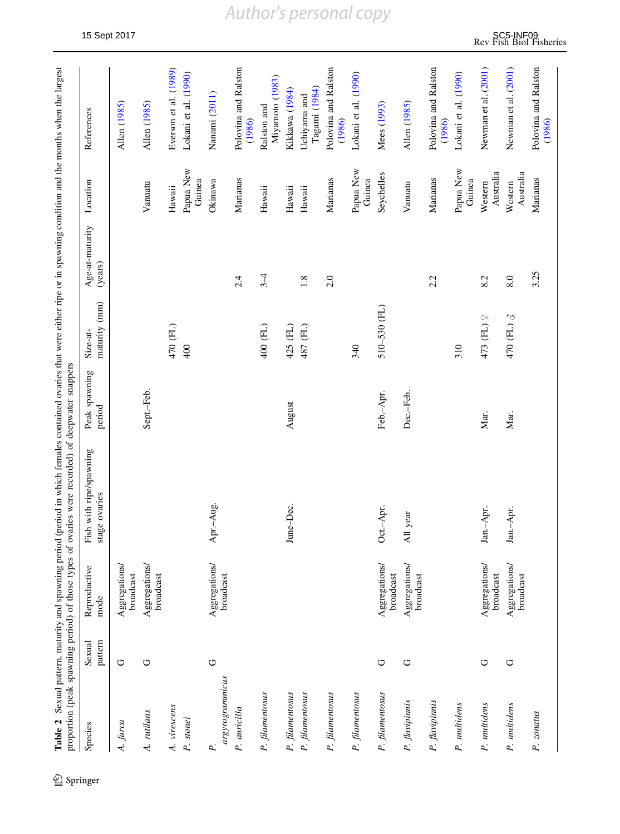<span id="page-14-0"></span>

|                                 |                   |                            | Table 2 Sexual pattern, maturity and spawning period (period in which females contained ovaries that were either ripe or in spawning condition and the months when the largest<br>proportion (peak spawning period) of those types of ovaries were recorded) of deepwater snappers |                         |                           |                            |                      |                                |
|---------------------------------|-------------------|----------------------------|------------------------------------------------------------------------------------------------------------------------------------------------------------------------------------------------------------------------------------------------------------------------------------|-------------------------|---------------------------|----------------------------|----------------------|--------------------------------|
| Species                         | pattern<br>Sexual | Reproductive<br>mode       | Fish with ripe/spawning<br>stage ovaries                                                                                                                                                                                                                                           | Peak spawning<br>period | maturity (mm)<br>Size-at- | Age-at-maturity<br>(years) | Location             | References                     |
| A. furca                        | O                 | Aggregations<br>broadcast  |                                                                                                                                                                                                                                                                                    |                         |                           |                            |                      | Allen (1985)                   |
| A. rutilans                     | O                 | Aggregations<br>broadcast  |                                                                                                                                                                                                                                                                                    | Sept.-Feb.              |                           |                            | Vanuatu              | Allen (1985)                   |
| A. virescens                    |                   |                            |                                                                                                                                                                                                                                                                                    |                         | 470 (FL)                  |                            | Hawaii               | Everson et al. (1989)          |
| P. stonei                       |                   |                            |                                                                                                                                                                                                                                                                                    |                         | 400                       |                            | Papua New<br>Guinea  | Lokani et al. (1990)           |
| argyrogrammicus<br>$\mathbf{p}$ | U                 | Aggregations/<br>broadcast | Apr.-Aug.                                                                                                                                                                                                                                                                          |                         |                           |                            | Okinawa              | Nanami (2011)                  |
| P. auricilla                    |                   |                            |                                                                                                                                                                                                                                                                                    |                         |                           | 2.4                        | Marianas             | Polovina and Ralston<br>(1986) |
| P. filamentosus                 |                   |                            |                                                                                                                                                                                                                                                                                    |                         | 400 (FL)                  | $\frac{3}{4}$              | Hawaii               | Miyamoto (1983)<br>Ralston and |
| P. filamentosus                 |                   |                            | June-Dec.                                                                                                                                                                                                                                                                          | August                  | 425 (FL)                  |                            | Hawaii               | Kikkawa (1984)                 |
| P. filamentosus                 |                   |                            |                                                                                                                                                                                                                                                                                    |                         | 487 (FL)                  | 1.8                        | Hawaii               | Tagami (1984)<br>Uchiyama and  |
| P. filamentosus                 |                   |                            |                                                                                                                                                                                                                                                                                    |                         |                           | 2.0                        | Marianas             | Polovina and Ralston<br>(1986) |
| P. filamentosus                 |                   |                            |                                                                                                                                                                                                                                                                                    |                         | 340                       |                            | Papua New<br>Guinea  | Lokani et al. (1990)           |
| P. filamentosus                 | U                 | Aggregations<br>broadcast  | Oct.-Apr.                                                                                                                                                                                                                                                                          | Feb.-Apr.               | 510-530 (FL)              |                            | Seychelles           | Mees (1993)                    |
| P. flavipinnis                  | U                 | Aggregations/<br>broadcast | All year                                                                                                                                                                                                                                                                           | Dec.-Feb.               |                           |                            | Vanuatu              | Allen (1985)                   |
| P. flavipinnis                  |                   |                            |                                                                                                                                                                                                                                                                                    |                         |                           | 2.2                        | Marianas             | Polovina and Ralston<br>(1986) |
| P. multidens                    |                   |                            |                                                                                                                                                                                                                                                                                    |                         | 310                       |                            | Papua New<br>Guinea  | Lokani et al. (1990)           |
| P. multidens                    | O                 | Aggregations<br>broadcast  | Jan.-Apr.                                                                                                                                                                                                                                                                          | Mar.                    | $\circ$<br>473 (FL)       | 8.2                        | Australia<br>Western | Newman et al. (2001)           |
| P. multidens                    | U                 | Aggregations/<br>broadcast | Jan.-Apr.                                                                                                                                                                                                                                                                          | Mar.                    | 470 (FL) 3                | 8.0                        | Australia<br>Western | Newman et al. (2001)           |
| P. zonatus                      |                   |                            |                                                                                                                                                                                                                                                                                    |                         |                           | 3.25                       | Marianas             | Polovina and Ralston<br>(1986) |

 $\underline{\textcircled{\tiny 2}}$  Springer

## *Author's personal copy*

15 Sept 2017 Sept 2017<br>Rev Fish Biol Fisheries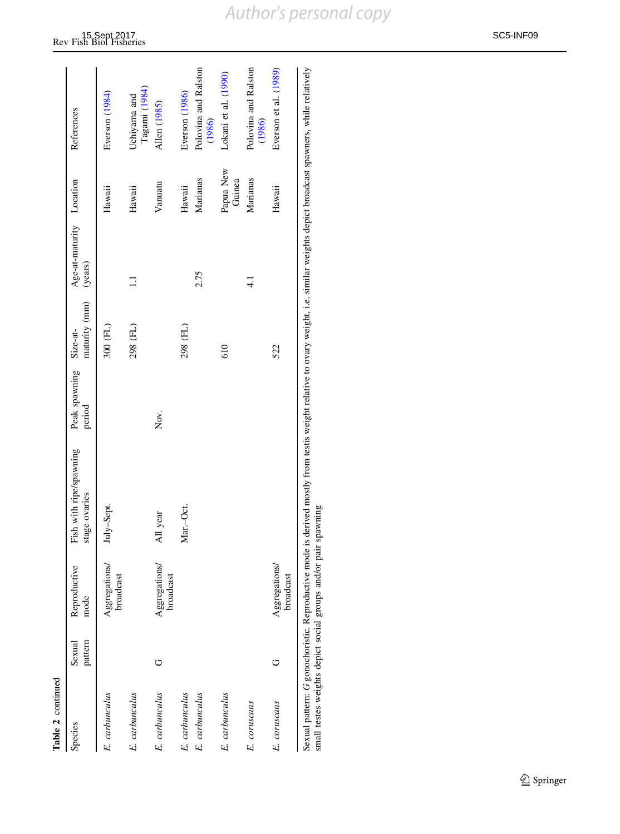| Species        | pattern<br>Sexual | Reproductive<br>mode       | Fish with ripe/spawning<br>stage ovaries | Peak spawning Size-at-<br>period | maturity (mm) (years) | Age-at-maturity Location |                     | References                     |
|----------------|-------------------|----------------------------|------------------------------------------|----------------------------------|-----------------------|--------------------------|---------------------|--------------------------------|
| E. carbunculus |                   | Aggregations/<br>broadcast | July-Sept.                               |                                  | 300 (FL)              |                          | Hawaii              | Everson (1984)                 |
| E. carbunculus |                   |                            |                                          |                                  | 298 (FL)              | Ξ                        | Hawaii              | Tagami (1984)<br>Uchiyama and  |
| E. carbunculus | O                 | Aggregations/<br>broadcast | All year                                 | Nον.                             |                       |                          | Vanuatu             | Allen (1985)                   |
| E. carbunculus |                   |                            | Mar.-Oct.                                |                                  | 298 (FL)              |                          | Hawaii              | Everson (1986)                 |
| E. carbunculus |                   |                            |                                          |                                  |                       | 2.75                     | Marianas            | Polovina and Ralston<br>(1986) |
| E. carbunculus |                   |                            |                                          |                                  | 610                   |                          | Papua New<br>Guinea | Lokani et al. (1990)           |
| E. coruscans   |                   |                            |                                          |                                  |                       | $\frac{1}{4}$            | Marianas            | Polovina and Ralston<br>(1986) |
| E. coruscans   | O                 | Aggregations/<br>broadcast |                                          |                                  | 522                   |                          | Hawaii              | Everson et al. (1989)          |
|                |                   |                            |                                          |                                  |                       |                          |                     |                                |

Sexual pattern: G gonochoristic. Reproductive mode is derived mostly from testis weight relative to ovary weight, i.e. similar weights depict broadcast spawners, while relatively<br>small testes weights depict social groups a Sexual pattern: G gonochoristic. Reproductive mode is derived mostly from testis weight relative to ovary weight, i.e. similar weights depict broadcast spawners, while relatively small testes weights depict social groups and/or pair spawning

*Author's personal copy*

### 15 Sept 2017<br>Rev Fish Biol Fisheries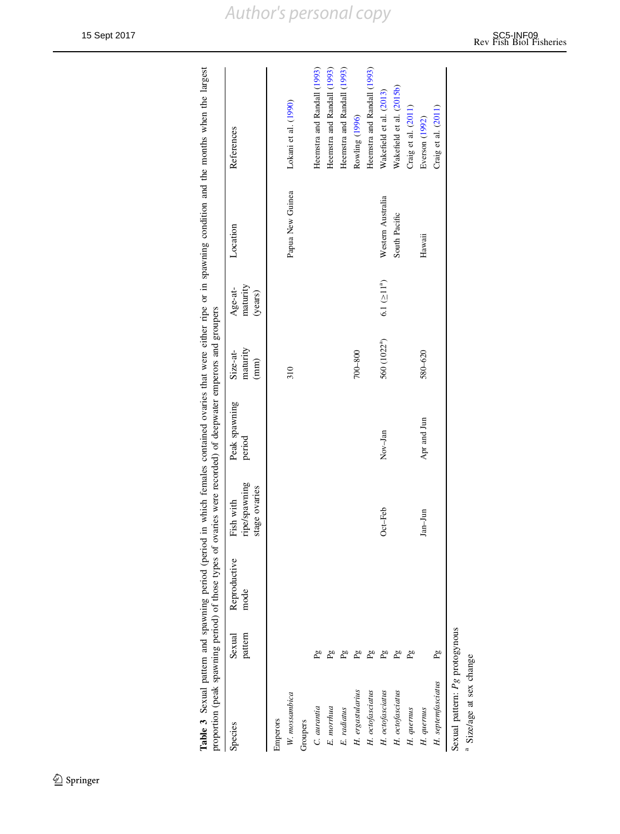<span id="page-16-0"></span>

| Wakefield et al. (2015b)<br>Wakefield et al. (2013)<br>Lokani et al. (1990)<br>Craig et al. (2011)<br>Craig et al. (2011)<br>Rowling (1996)<br>Everson (1992)<br>Papua New Guinea<br>Western Australia<br>South Pacific<br>Hawaii<br>6.1 (211 <sup>a</sup> )<br>560 (1022ª)<br>$700 - 800$<br>580-620<br>310<br>Apr and Jun<br>Nov-Jan<br>$Oct-Feb$<br>Jan-Jun<br>$\overline{5}$<br>H. septemfasciatus<br>H. erg a<br>stularius<br>H. octofasciatus<br>H. octofasciatus<br>H. octofasciatus<br>W. mossambica<br>H. quernus<br>E. radiatus<br>H. quernus<br>E. morrhua<br>C. aurania<br>Groupers<br>Emperors | Species                             | pattern<br>Sexual | Reproductive<br>mode | ripe/spawning<br>stage ovaries<br>Fish with | Peak spawning<br>period | maturity<br>Size-at-<br>$\begin{pmatrix} \mathbf{m}\mathbf{m} \\ \mathbf{m} \end{pmatrix}$ | maturity<br>Age-at-<br>(years) | Location | References                  |
|-------------------------------------------------------------------------------------------------------------------------------------------------------------------------------------------------------------------------------------------------------------------------------------------------------------------------------------------------------------------------------------------------------------------------------------------------------------------------------------------------------------------------------------------------------------------------------------------------------------|-------------------------------------|-------------------|----------------------|---------------------------------------------|-------------------------|--------------------------------------------------------------------------------------------|--------------------------------|----------|-----------------------------|
|                                                                                                                                                                                                                                                                                                                                                                                                                                                                                                                                                                                                             |                                     |                   |                      |                                             |                         |                                                                                            |                                |          |                             |
|                                                                                                                                                                                                                                                                                                                                                                                                                                                                                                                                                                                                             |                                     |                   |                      |                                             |                         |                                                                                            |                                |          |                             |
|                                                                                                                                                                                                                                                                                                                                                                                                                                                                                                                                                                                                             |                                     |                   |                      |                                             |                         |                                                                                            |                                |          |                             |
|                                                                                                                                                                                                                                                                                                                                                                                                                                                                                                                                                                                                             |                                     |                   |                      |                                             |                         |                                                                                            |                                |          | Heemstra and Randall (1993) |
|                                                                                                                                                                                                                                                                                                                                                                                                                                                                                                                                                                                                             |                                     |                   |                      |                                             |                         |                                                                                            |                                |          | Heemstra and Randall (1993) |
|                                                                                                                                                                                                                                                                                                                                                                                                                                                                                                                                                                                                             |                                     |                   |                      |                                             |                         |                                                                                            |                                |          | Heemstra and Randall (1993) |
|                                                                                                                                                                                                                                                                                                                                                                                                                                                                                                                                                                                                             |                                     |                   |                      |                                             |                         |                                                                                            |                                |          |                             |
|                                                                                                                                                                                                                                                                                                                                                                                                                                                                                                                                                                                                             |                                     |                   |                      |                                             |                         |                                                                                            |                                |          | Heemstra and Randall (1993) |
|                                                                                                                                                                                                                                                                                                                                                                                                                                                                                                                                                                                                             |                                     |                   |                      |                                             |                         |                                                                                            |                                |          |                             |
|                                                                                                                                                                                                                                                                                                                                                                                                                                                                                                                                                                                                             |                                     |                   |                      |                                             |                         |                                                                                            |                                |          |                             |
|                                                                                                                                                                                                                                                                                                                                                                                                                                                                                                                                                                                                             |                                     |                   |                      |                                             |                         |                                                                                            |                                |          |                             |
|                                                                                                                                                                                                                                                                                                                                                                                                                                                                                                                                                                                                             |                                     |                   |                      |                                             |                         |                                                                                            |                                |          |                             |
|                                                                                                                                                                                                                                                                                                                                                                                                                                                                                                                                                                                                             |                                     |                   |                      |                                             |                         |                                                                                            |                                |          |                             |
| Sexual pattern: Pg protogynous                                                                                                                                                                                                                                                                                                                                                                                                                                                                                                                                                                              | <sup>a</sup> Size/age at sex change |                   |                      |                                             |                         |                                                                                            |                                |          |                             |

| notogynou | Size/age at sex change |
|-----------|------------------------|
|           |                        |
|           |                        |
| attern:   |                        |
|           |                        |
| exua      |                        |
|           |                        |

 $\underline{\textcircled{\tiny 2}}$  Springer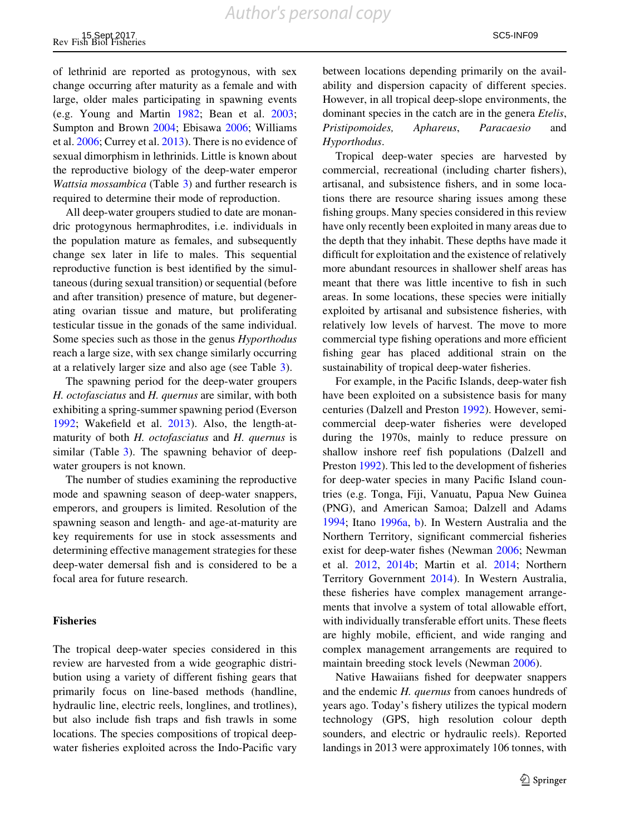of lethrinid are reported as protogynous, with sex change occurring after maturity as a female and with large, older males participating in spawning events (e.g. Young and Martin [1982](#page-28-0); Bean et al. [2003](#page-23-0); Sumpton and Brown [2004](#page-28-0); Ebisawa [2006;](#page-24-0) Williams et al. [2006;](#page-28-0) Currey et al. [2013\)](#page-24-0). There is no evidence of sexual dimorphism in lethrinids. Little is known about the reproductive biology of the deep-water emperor Wattsia mossambica (Table [3](#page-16-0)) and further research is required to determine their mode of reproduction.

All deep-water groupers studied to date are monandric protogynous hermaphrodites, i.e. individuals in the population mature as females, and subsequently change sex later in life to males. This sequential reproductive function is best identified by the simultaneous (during sexual transition) or sequential (before and after transition) presence of mature, but degenerating ovarian tissue and mature, but proliferating testicular tissue in the gonads of the same individual. Some species such as those in the genus Hyporthodus reach a large size, with sex change similarly occurring at a relatively larger size and also age (see Table [3](#page-16-0)).

The spawning period for the deep-water groupers H. octofasciatus and H. quernus are similar, with both exhibiting a spring-summer spawning period (Everson [1992;](#page-24-0) Wakefield et al. [2013](#page-28-0)). Also, the length-atmaturity of both H. *octofasciatus* and H. *quernus* is similar (Table [3\)](#page-16-0). The spawning behavior of deepwater groupers is not known.

The number of studies examining the reproductive mode and spawning season of deep-water snappers, emperors, and groupers is limited. Resolution of the spawning season and length- and age-at-maturity are key requirements for use in stock assessments and determining effective management strategies for these deep-water demersal fish and is considered to be a focal area for future research.

#### Fisheries

The tropical deep-water species considered in this review are harvested from a wide geographic distribution using a variety of different fishing gears that primarily focus on line-based methods (handline, hydraulic line, electric reels, longlines, and trotlines), but also include fish traps and fish trawls in some locations. The species compositions of tropical deepwater fisheries exploited across the Indo-Pacific vary between locations depending primarily on the availability and dispersion capacity of different species. However, in all tropical deep-slope environments, the dominant species in the catch are in the genera *Etelis*, Pristipomoides, Aphareus, Paracaesio and Hyporthodus.

Tropical deep-water species are harvested by commercial, recreational (including charter fishers), artisanal, and subsistence fishers, and in some locations there are resource sharing issues among these fishing groups. Many species considered in this review have only recently been exploited in many areas due to the depth that they inhabit. These depths have made it difficult for exploitation and the existence of relatively more abundant resources in shallower shelf areas has meant that there was little incentive to fish in such areas. In some locations, these species were initially exploited by artisanal and subsistence fisheries, with relatively low levels of harvest. The move to more commercial type fishing operations and more efficient fishing gear has placed additional strain on the sustainability of tropical deep-water fisheries.

For example, in the Pacific Islands, deep-water fish have been exploited on a subsistence basis for many centuries (Dalzell and Preston [1992](#page-24-0)). However, semicommercial deep-water fisheries were developed during the 1970s, mainly to reduce pressure on shallow inshore reef fish populations (Dalzell and Preston [1992\)](#page-24-0). This led to the development of fisheries for deep-water species in many Pacific Island countries (e.g. Tonga, Fiji, Vanuatu, Papua New Guinea (PNG), and American Samoa; Dalzell and Adams [1994;](#page-24-0) Itano [1996a,](#page-25-0) [b](#page-25-0)). In Western Australia and the Northern Territory, significant commercial fisheries exist for deep-water fishes (Newman [2006](#page-26-0); Newman et al. [2012](#page-26-0), [2014b](#page-26-0); Martin et al. [2014;](#page-25-0) Northern Territory Government [2014](#page-27-0)). In Western Australia, these fisheries have complex management arrangements that involve a system of total allowable effort, with individually transferable effort units. These fleets are highly mobile, efficient, and wide ranging and complex management arrangements are required to maintain breeding stock levels (Newman [2006\)](#page-26-0).

Native Hawaiians fished for deepwater snappers and the endemic H. quernus from canoes hundreds of years ago. Today's fishery utilizes the typical modern technology (GPS, high resolution colour depth sounders, and electric or hydraulic reels). Reported landings in 2013 were approximately 106 tonnes, with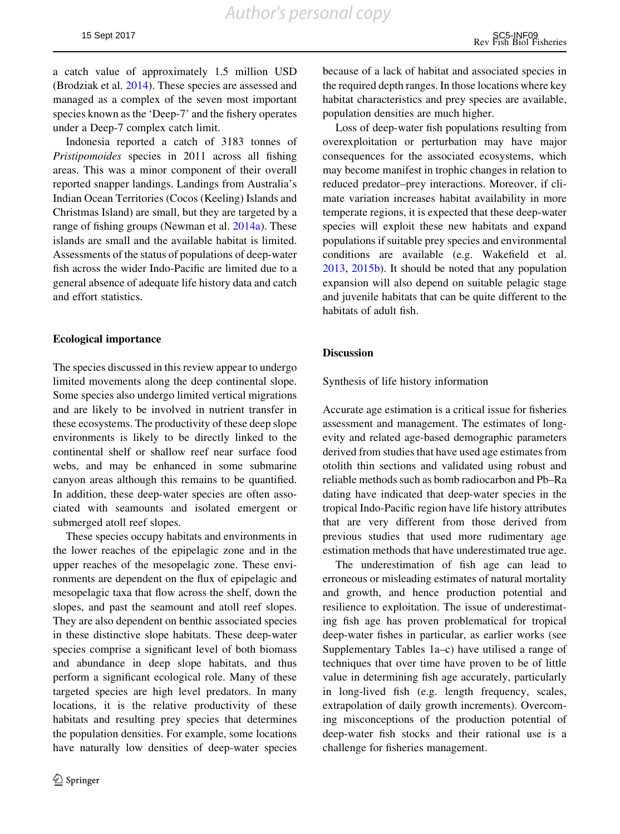a catch value of approximately 1.5 million USD (Brodziak et al. [2014](#page-23-0)). These species are assessed and managed as a complex of the seven most important species known as the 'Deep-7' and the fishery operates under a Deep-7 complex catch limit.

Indonesia reported a catch of 3183 tonnes of Pristipomoides species in 2011 across all fishing areas. This was a minor component of their overall reported snapper landings. Landings from Australia's Indian Ocean Territories (Cocos (Keeling) Islands and Christmas Island) are small, but they are targeted by a range of fishing groups (Newman et al. [2014a\)](#page-26-0). These islands are small and the available habitat is limited. Assessments of the status of populations of deep-water fish across the wider Indo-Pacific are limited due to a general absence of adequate life history data and catch and effort statistics.

#### Ecological importance

The species discussed in this review appear to undergo limited movements along the deep continental slope. Some species also undergo limited vertical migrations and are likely to be involved in nutrient transfer in these ecosystems. The productivity of these deep slope environments is likely to be directly linked to the continental shelf or shallow reef near surface food webs, and may be enhanced in some submarine canyon areas although this remains to be quantified. In addition, these deep-water species are often associated with seamounts and isolated emergent or submerged atoll reef slopes.

These species occupy habitats and environments in the lower reaches of the epipelagic zone and in the upper reaches of the mesopelagic zone. These environments are dependent on the flux of epipelagic and mesopelagic taxa that flow across the shelf, down the slopes, and past the seamount and atoll reef slopes. They are also dependent on benthic associated species in these distinctive slope habitats. These deep-water species comprise a significant level of both biomass and abundance in deep slope habitats, and thus perform a significant ecological role. Many of these targeted species are high level predators. In many locations, it is the relative productivity of these habitats and resulting prey species that determines the population densities. For example, some locations have naturally low densities of deep-water species

because of a lack of habitat and associated species in the required depth ranges. In those locations where key habitat characteristics and prey species are available, population densities are much higher.

Loss of deep-water fish populations resulting from overexploitation or perturbation may have major consequences for the associated ecosystems, which may become manifest in trophic changes in relation to reduced predator–prey interactions. Moreover, if climate variation increases habitat availability in more temperate regions, it is expected that these deep-water species will exploit these new habitats and expand populations if suitable prey species and environmental conditions are available (e.g. Wakefield et al. [2013,](#page-28-0) [2015b](#page-28-0)). It should be noted that any population expansion will also depend on suitable pelagic stage and juvenile habitats that can be quite different to the habitats of adult fish.

#### **Discussion**

Synthesis of life history information

Accurate age estimation is a critical issue for fisheries assessment and management. The estimates of longevity and related age-based demographic parameters derived from studies that have used age estimates from otolith thin sections and validated using robust and reliable methods such as bomb radiocarbon and Pb–Ra dating have indicated that deep-water species in the tropical Indo-Pacific region have life history attributes that are very different from those derived from previous studies that used more rudimentary age estimation methods that have underestimated true age.

The underestimation of fish age can lead to erroneous or misleading estimates of natural mortality and growth, and hence production potential and resilience to exploitation. The issue of underestimating fish age has proven problematical for tropical deep-water fishes in particular, as earlier works (see Supplementary Tables 1a–c) have utilised a range of techniques that over time have proven to be of little value in determining fish age accurately, particularly in long-lived fish (e.g. length frequency, scales, extrapolation of daily growth increments). Overcoming misconceptions of the production potential of deep-water fish stocks and their rational use is a challenge for fisheries management.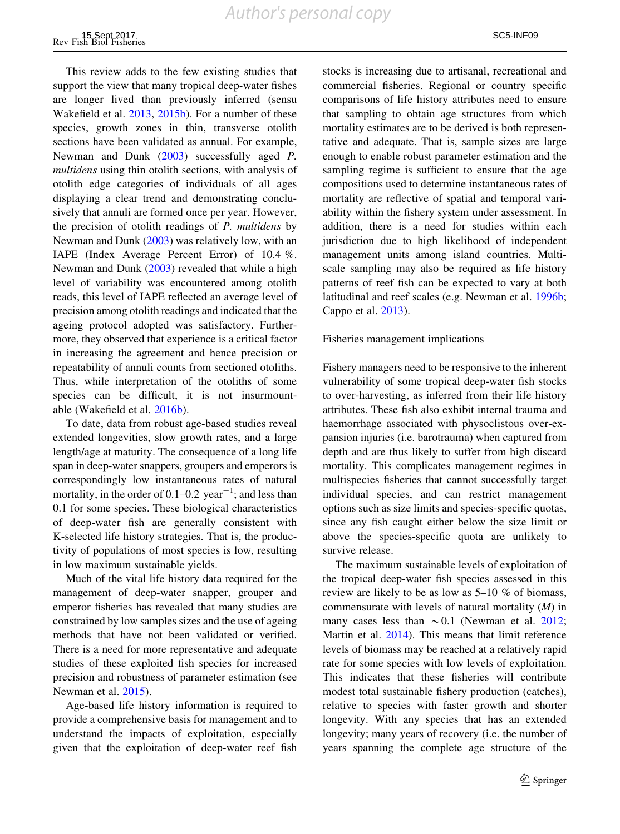This review adds to the few existing studies that support the view that many tropical deep-water fishes are longer lived than previously inferred (sensu Wakefield et al. [2013,](#page-28-0) [2015b](#page-28-0)). For a number of these species, growth zones in thin, transverse otolith sections have been validated as annual. For example, Newman and Dunk ([2003\)](#page-26-0) successfully aged P. multidens using thin otolith sections, with analysis of otolith edge categories of individuals of all ages displaying a clear trend and demonstrating conclusively that annuli are formed once per year. However, the precision of otolith readings of P. multidens by Newman and Dunk ([2003](#page-26-0)) was relatively low, with an IAPE (Index Average Percent Error) of 10.4 %. Newman and Dunk [\(2003](#page-26-0)) revealed that while a high level of variability was encountered among otolith reads, this level of IAPE reflected an average level of precision among otolith readings and indicated that the ageing protocol adopted was satisfactory. Furthermore, they observed that experience is a critical factor in increasing the agreement and hence precision or repeatability of annuli counts from sectioned otoliths. Thus, while interpretation of the otoliths of some species can be difficult, it is not insurmountable (Wakefield et al. [2016b](#page-28-0)).

To date, data from robust age-based studies reveal extended longevities, slow growth rates, and a large length/age at maturity. The consequence of a long life span in deep-water snappers, groupers and emperors is correspondingly low instantaneous rates of natural mortality, in the order of  $0.1-0.2$  year<sup> $-1$ </sup>; and less than 0.1 for some species. These biological characteristics of deep-water fish are generally consistent with K-selected life history strategies. That is, the productivity of populations of most species is low, resulting in low maximum sustainable yields.

Much of the vital life history data required for the management of deep-water snapper, grouper and emperor fisheries has revealed that many studies are constrained by low samples sizes and the use of ageing methods that have not been validated or verified. There is a need for more representative and adequate studies of these exploited fish species for increased precision and robustness of parameter estimation (see Newman et al. [2015](#page-26-0)).

Age-based life history information is required to provide a comprehensive basis for management and to understand the impacts of exploitation, especially given that the exploitation of deep-water reef fish stocks is increasing due to artisanal, recreational and commercial fisheries. Regional or country specific comparisons of life history attributes need to ensure that sampling to obtain age structures from which mortality estimates are to be derived is both representative and adequate. That is, sample sizes are large enough to enable robust parameter estimation and the sampling regime is sufficient to ensure that the age compositions used to determine instantaneous rates of mortality are reflective of spatial and temporal variability within the fishery system under assessment. In addition, there is a need for studies within each jurisdiction due to high likelihood of independent management units among island countries. Multiscale sampling may also be required as life history patterns of reef fish can be expected to vary at both latitudinal and reef scales (e.g. Newman et al. [1996b](#page-26-0); Cappo et al. [2013](#page-23-0)).

#### Fisheries management implications

Fishery managers need to be responsive to the inherent vulnerability of some tropical deep-water fish stocks to over-harvesting, as inferred from their life history attributes. These fish also exhibit internal trauma and haemorrhage associated with physoclistous over-expansion injuries (i.e. barotrauma) when captured from depth and are thus likely to suffer from high discard mortality. This complicates management regimes in multispecies fisheries that cannot successfully target individual species, and can restrict management options such as size limits and species-specific quotas, since any fish caught either below the size limit or above the species-specific quota are unlikely to survive release.

The maximum sustainable levels of exploitation of the tropical deep-water fish species assessed in this review are likely to be as low as 5–10 % of biomass, commensurate with levels of natural mortality  $(M)$  in many cases less than  $\sim 0.1$  (Newman et al. [2012](#page-26-0); Martin et al. [2014\)](#page-25-0). This means that limit reference levels of biomass may be reached at a relatively rapid rate for some species with low levels of exploitation. This indicates that these fisheries will contribute modest total sustainable fishery production (catches), relative to species with faster growth and shorter longevity. With any species that has an extended longevity; many years of recovery (i.e. the number of years spanning the complete age structure of the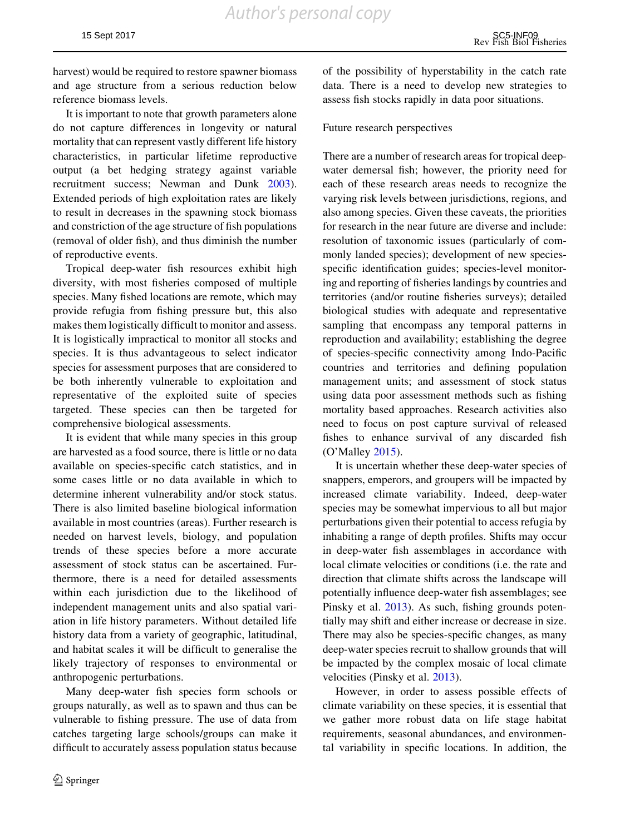harvest) would be required to restore spawner biomass and age structure from a serious reduction below reference biomass levels.

It is important to note that growth parameters alone do not capture differences in longevity or natural mortality that can represent vastly different life history characteristics, in particular lifetime reproductive output (a bet hedging strategy against variable recruitment success; Newman and Dunk [2003](#page-26-0)). Extended periods of high exploitation rates are likely to result in decreases in the spawning stock biomass and constriction of the age structure of fish populations (removal of older fish), and thus diminish the number of reproductive events.

Tropical deep-water fish resources exhibit high diversity, with most fisheries composed of multiple species. Many fished locations are remote, which may provide refugia from fishing pressure but, this also makes them logistically difficult to monitor and assess. It is logistically impractical to monitor all stocks and species. It is thus advantageous to select indicator species for assessment purposes that are considered to be both inherently vulnerable to exploitation and representative of the exploited suite of species targeted. These species can then be targeted for comprehensive biological assessments.

It is evident that while many species in this group are harvested as a food source, there is little or no data available on species-specific catch statistics, and in some cases little or no data available in which to determine inherent vulnerability and/or stock status. There is also limited baseline biological information available in most countries (areas). Further research is needed on harvest levels, biology, and population trends of these species before a more accurate assessment of stock status can be ascertained. Furthermore, there is a need for detailed assessments within each jurisdiction due to the likelihood of independent management units and also spatial variation in life history parameters. Without detailed life history data from a variety of geographic, latitudinal, and habitat scales it will be difficult to generalise the likely trajectory of responses to environmental or anthropogenic perturbations.

Many deep-water fish species form schools or groups naturally, as well as to spawn and thus can be vulnerable to fishing pressure. The use of data from catches targeting large schools/groups can make it difficult to accurately assess population status because

of the possibility of hyperstability in the catch rate data. There is a need to develop new strategies to assess fish stocks rapidly in data poor situations.

#### Future research perspectives

There are a number of research areas for tropical deepwater demersal fish; however, the priority need for each of these research areas needs to recognize the varying risk levels between jurisdictions, regions, and also among species. Given these caveats, the priorities for research in the near future are diverse and include: resolution of taxonomic issues (particularly of commonly landed species); development of new speciesspecific identification guides; species-level monitoring and reporting of fisheries landings by countries and territories (and/or routine fisheries surveys); detailed biological studies with adequate and representative sampling that encompass any temporal patterns in reproduction and availability; establishing the degree of species-specific connectivity among Indo-Pacific countries and territories and defining population management units; and assessment of stock status using data poor assessment methods such as fishing mortality based approaches. Research activities also need to focus on post capture survival of released fishes to enhance survival of any discarded fish (O'Malley [2015\)](#page-27-0).

It is uncertain whether these deep-water species of snappers, emperors, and groupers will be impacted by increased climate variability. Indeed, deep-water species may be somewhat impervious to all but major perturbations given their potential to access refugia by inhabiting a range of depth profiles. Shifts may occur in deep-water fish assemblages in accordance with local climate velocities or conditions (i.e. the rate and direction that climate shifts across the landscape will potentially influence deep-water fish assemblages; see Pinsky et al. [2013\)](#page-27-0). As such, fishing grounds potentially may shift and either increase or decrease in size. There may also be species-specific changes, as many deep-water species recruit to shallow grounds that will be impacted by the complex mosaic of local climate velocities (Pinsky et al. [2013](#page-27-0)).

However, in order to assess possible effects of climate variability on these species, it is essential that we gather more robust data on life stage habitat requirements, seasonal abundances, and environmental variability in specific locations. In addition, the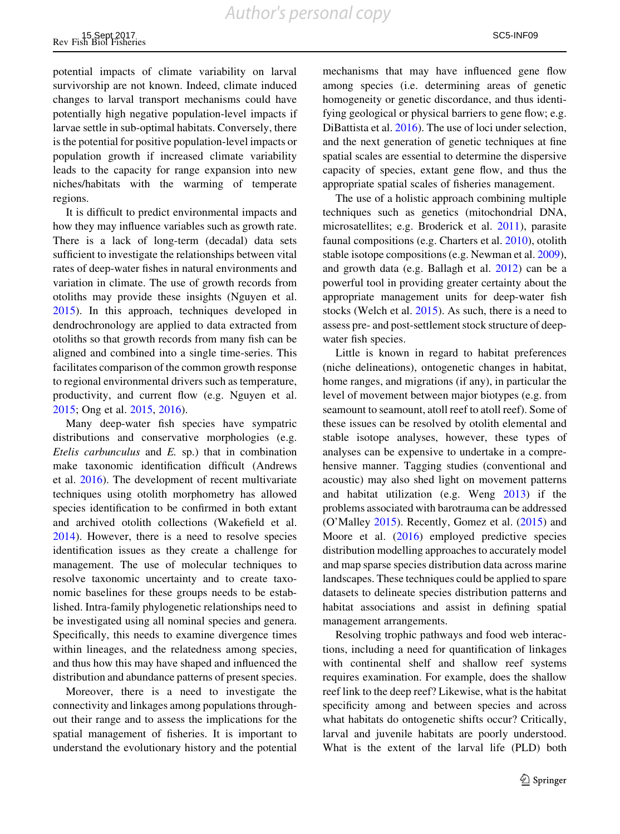potential impacts of climate variability on larval survivorship are not known. Indeed, climate induced changes to larval transport mechanisms could have potentially high negative population-level impacts if larvae settle in sub-optimal habitats. Conversely, there is the potential for positive population-level impacts or population growth if increased climate variability leads to the capacity for range expansion into new niches/habitats with the warming of temperate regions.

It is difficult to predict environmental impacts and how they may influence variables such as growth rate. There is a lack of long-term (decadal) data sets sufficient to investigate the relationships between vital rates of deep-water fishes in natural environments and variation in climate. The use of growth records from otoliths may provide these insights (Nguyen et al. [2015\)](#page-26-0). In this approach, techniques developed in dendrochronology are applied to data extracted from otoliths so that growth records from many fish can be aligned and combined into a single time-series. This facilitates comparison of the common growth response to regional environmental drivers such as temperature, productivity, and current flow (e.g. Nguyen et al. [2015;](#page-26-0) Ong et al. [2015,](#page-27-0) [2016](#page-27-0)).

Many deep-water fish species have sympatric distributions and conservative morphologies (e.g. Etelis carbunculus and E. sp.) that in combination make taxonomic identification difficult (Andrews et al. [2016\)](#page-23-0). The development of recent multivariate techniques using otolith morphometry has allowed species identification to be confirmed in both extant and archived otolith collections (Wakefield et al. [2014\)](#page-28-0). However, there is a need to resolve species identification issues as they create a challenge for management. The use of molecular techniques to resolve taxonomic uncertainty and to create taxonomic baselines for these groups needs to be established. Intra-family phylogenetic relationships need to be investigated using all nominal species and genera. Specifically, this needs to examine divergence times within lineages, and the relatedness among species, and thus how this may have shaped and influenced the distribution and abundance patterns of present species.

Moreover, there is a need to investigate the connectivity and linkages among populations throughout their range and to assess the implications for the spatial management of fisheries. It is important to understand the evolutionary history and the potential mechanisms that may have influenced gene flow among species (i.e. determining areas of genetic homogeneity or genetic discordance, and thus identifying geological or physical barriers to gene flow; e.g. DiBattista et al. [2016\)](#page-24-0). The use of loci under selection, and the next generation of genetic techniques at fine spatial scales are essential to determine the dispersive capacity of species, extant gene flow, and thus the appropriate spatial scales of fisheries management.

The use of a holistic approach combining multiple techniques such as genetics (mitochondrial DNA, microsatellites; e.g. Broderick et al. [2011](#page-23-0)), parasite faunal compositions (e.g. Charters et al. [2010\)](#page-24-0), otolith stable isotope compositions (e.g. Newman et al. [2009](#page-26-0)), and growth data (e.g. Ballagh et al. [2012\)](#page-23-0) can be a powerful tool in providing greater certainty about the appropriate management units for deep-water fish stocks (Welch et al. [2015\)](#page-28-0). As such, there is a need to assess pre- and post-settlement stock structure of deepwater fish species.

Little is known in regard to habitat preferences (niche delineations), ontogenetic changes in habitat, home ranges, and migrations (if any), in particular the level of movement between major biotypes (e.g. from seamount to seamount, atoll reef to atoll reef). Some of these issues can be resolved by otolith elemental and stable isotope analyses, however, these types of analyses can be expensive to undertake in a comprehensive manner. Tagging studies (conventional and acoustic) may also shed light on movement patterns and habitat utilization (e.g. Weng [2013](#page-28-0)) if the problems associated with barotrauma can be addressed (O'Malley [2015](#page-27-0)). Recently, Gomez et al. [\(2015](#page-24-0)) and Moore et al. [\(2016](#page-26-0)) employed predictive species distribution modelling approaches to accurately model and map sparse species distribution data across marine landscapes. These techniques could be applied to spare datasets to delineate species distribution patterns and habitat associations and assist in defining spatial management arrangements.

Resolving trophic pathways and food web interactions, including a need for quantification of linkages with continental shelf and shallow reef systems requires examination. For example, does the shallow reef link to the deep reef? Likewise, what is the habitat specificity among and between species and across what habitats do ontogenetic shifts occur? Critically, larval and juvenile habitats are poorly understood. What is the extent of the larval life (PLD) both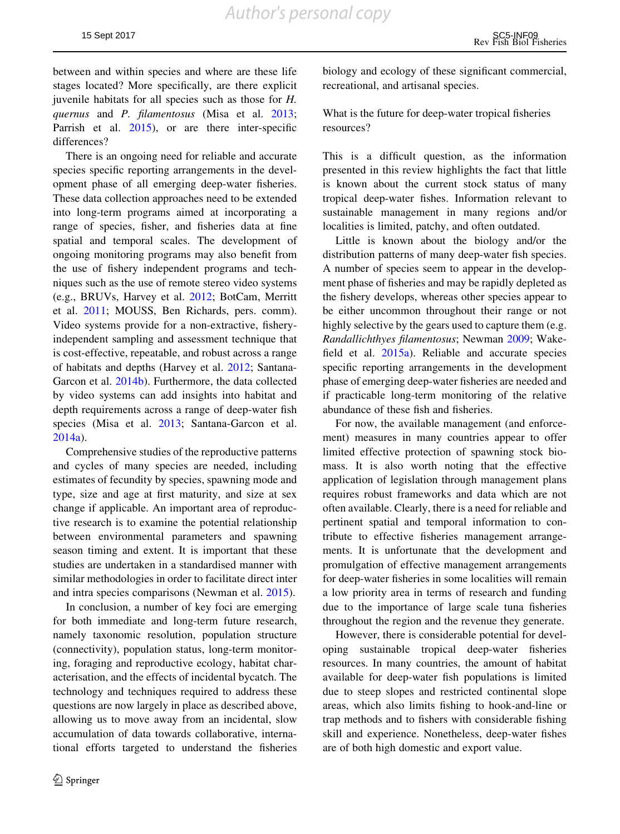between and within species and where are these life stages located? More specifically, are there explicit juvenile habitats for all species such as those for H. quernus and P. filamentosus (Misa et al. [2013](#page-25-0); Parrish et al. [2015](#page-27-0)), or are there inter-specific differences?

There is an ongoing need for reliable and accurate species specific reporting arrangements in the development phase of all emerging deep-water fisheries. These data collection approaches need to be extended into long-term programs aimed at incorporating a range of species, fisher, and fisheries data at fine spatial and temporal scales. The development of ongoing monitoring programs may also benefit from the use of fishery independent programs and techniques such as the use of remote stereo video systems (e.g., BRUVs, Harvey et al. [2012](#page-24-0); BotCam, Merritt et al. [2011;](#page-25-0) MOUSS, Ben Richards, pers. comm). Video systems provide for a non-extractive, fisheryindependent sampling and assessment technique that is cost-effective, repeatable, and robust across a range of habitats and depths (Harvey et al. [2012;](#page-24-0) Santana-Garcon et al. [2014b\)](#page-27-0). Furthermore, the data collected by video systems can add insights into habitat and depth requirements across a range of deep-water fish species (Misa et al. [2013;](#page-25-0) Santana-Garcon et al. [2014a](#page-27-0)).

Comprehensive studies of the reproductive patterns and cycles of many species are needed, including estimates of fecundity by species, spawning mode and type, size and age at first maturity, and size at sex change if applicable. An important area of reproductive research is to examine the potential relationship between environmental parameters and spawning season timing and extent. It is important that these studies are undertaken in a standardised manner with similar methodologies in order to facilitate direct inter and intra species comparisons (Newman et al. [2015](#page-26-0)).

In conclusion, a number of key foci are emerging for both immediate and long-term future research, namely taxonomic resolution, population structure (connectivity), population status, long-term monitoring, foraging and reproductive ecology, habitat characterisation, and the effects of incidental bycatch. The technology and techniques required to address these questions are now largely in place as described above, allowing us to move away from an incidental, slow accumulation of data towards collaborative, international efforts targeted to understand the fisheries

biology and ecology of these significant commercial, recreational, and artisanal species.

What is the future for deep-water tropical fisheries resources?

This is a difficult question, as the information presented in this review highlights the fact that little is known about the current stock status of many tropical deep-water fishes. Information relevant to sustainable management in many regions and/or localities is limited, patchy, and often outdated.

Little is known about the biology and/or the distribution patterns of many deep-water fish species. A number of species seem to appear in the development phase of fisheries and may be rapidly depleted as the fishery develops, whereas other species appear to be either uncommon throughout their range or not highly selective by the gears used to capture them (e.g. Randallichthyes filamentosus; Newman [2009;](#page-26-0) Wakefield et al. [2015a](#page-28-0)). Reliable and accurate species specific reporting arrangements in the development phase of emerging deep-water fisheries are needed and if practicable long-term monitoring of the relative abundance of these fish and fisheries.

For now, the available management (and enforcement) measures in many countries appear to offer limited effective protection of spawning stock biomass. It is also worth noting that the effective application of legislation through management plans requires robust frameworks and data which are not often available. Clearly, there is a need for reliable and pertinent spatial and temporal information to contribute to effective fisheries management arrangements. It is unfortunate that the development and promulgation of effective management arrangements for deep-water fisheries in some localities will remain a low priority area in terms of research and funding due to the importance of large scale tuna fisheries throughout the region and the revenue they generate.

However, there is considerable potential for developing sustainable tropical deep-water fisheries resources. In many countries, the amount of habitat available for deep-water fish populations is limited due to steep slopes and restricted continental slope areas, which also limits fishing to hook-and-line or trap methods and to fishers with considerable fishing skill and experience. Nonetheless, deep-water fishes are of both high domestic and export value.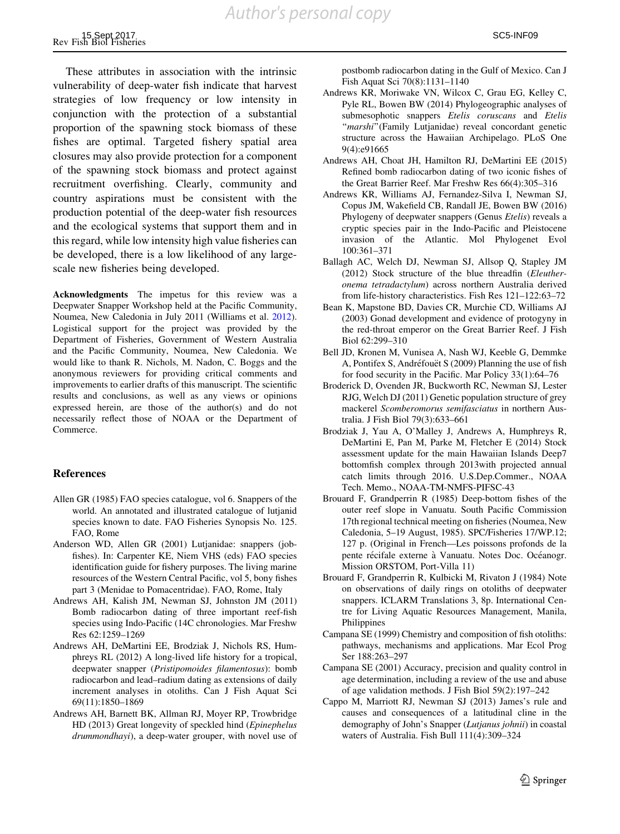<span id="page-23-0"></span>These attributes in association with the intrinsic vulnerability of deep-water fish indicate that harvest strategies of low frequency or low intensity in conjunction with the protection of a substantial proportion of the spawning stock biomass of these fishes are optimal. Targeted fishery spatial area closures may also provide protection for a component of the spawning stock biomass and protect against recruitment overfishing. Clearly, community and country aspirations must be consistent with the production potential of the deep-water fish resources and the ecological systems that support them and in this regard, while low intensity high value fisheries can be developed, there is a low likelihood of any largescale new fisheries being developed.

Acknowledgments The impetus for this review was a Deepwater Snapper Workshop held at the Pacific Community, Noumea, New Caledonia in July 2011 (Williams et al. [2012](#page-28-0)). Logistical support for the project was provided by the Department of Fisheries, Government of Western Australia and the Pacific Community, Noumea, New Caledonia. We would like to thank R. Nichols, M. Nadon, C. Boggs and the anonymous reviewers for providing critical comments and improvements to earlier drafts of this manuscript. The scientific results and conclusions, as well as any views or opinions expressed herein, are those of the author(s) and do not necessarily reflect those of NOAA or the Department of Commerce.

#### References

- Allen GR (1985) FAO species catalogue, vol 6. Snappers of the world. An annotated and illustrated catalogue of lutjanid species known to date. FAO Fisheries Synopsis No. 125. FAO, Rome
- Anderson WD, Allen GR (2001) Lutjanidae: snappers (jobfishes). In: Carpenter KE, Niem VHS (eds) FAO species identification guide for fishery purposes. The living marine resources of the Western Central Pacific, vol 5, bony fishes part 3 (Menidae to Pomacentridae). FAO, Rome, Italy
- Andrews AH, Kalish JM, Newman SJ, Johnston JM (2011) Bomb radiocarbon dating of three important reef-fish species using Indo-Pacific (14C chronologies. Mar Freshw Res 62:1259–1269
- Andrews AH, DeMartini EE, Brodziak J, Nichols RS, Humphreys RL (2012) A long-lived life history for a tropical, deepwater snapper (Pristipomoides filamentosus): bomb radiocarbon and lead–radium dating as extensions of daily increment analyses in otoliths. Can J Fish Aquat Sci 69(11):1850–1869
- Andrews AH, Barnett BK, Allman RJ, Moyer RP, Trowbridge HD (2013) Great longevity of speckled hind (Epinephelus drummondhayi), a deep-water grouper, with novel use of

postbomb radiocarbon dating in the Gulf of Mexico. Can J Fish Aquat Sci 70(8):1131–1140

- Andrews KR, Moriwake VN, Wilcox C, Grau EG, Kelley C, Pyle RL, Bowen BW (2014) Phylogeographic analyses of submesophotic snappers Etelis coruscans and Etelis "marshi"(Family Lutjanidae) reveal concordant genetic structure across the Hawaiian Archipelago. PLoS One 9(4):e91665
- Andrews AH, Choat JH, Hamilton RJ, DeMartini EE (2015) Refined bomb radiocarbon dating of two iconic fishes of the Great Barrier Reef. Mar Freshw Res 66(4):305–316
- Andrews KR, Williams AJ, Fernandez-Silva I, Newman SJ, Copus JM, Wakefield CB, Randall JE, Bowen BW (2016) Phylogeny of deepwater snappers (Genus Etelis) reveals a cryptic species pair in the Indo-Pacific and Pleistocene invasion of the Atlantic. Mol Phylogenet Evol 100:361–371
- Ballagh AC, Welch DJ, Newman SJ, Allsop Q, Stapley JM (2012) Stock structure of the blue threadfin (Eleutheronema tetradactylum) across northern Australia derived from life-history characteristics. Fish Res 121–122:63–72
- Bean K, Mapstone BD, Davies CR, Murchie CD, Williams AJ (2003) Gonad development and evidence of protogyny in the red-throat emperor on the Great Barrier Reef. J Fish Biol 62:299–310
- Bell JD, Kronen M, Vunisea A, Nash WJ, Keeble G, Demmke A, Pontifex S, Andréfouët S (2009) Planning the use of fish for food security in the Pacific. Mar Policy 33(1):64–76
- Broderick D, Ovenden JR, Buckworth RC, Newman SJ, Lester RJG, Welch DJ (2011) Genetic population structure of grey mackerel Scomberomorus semifasciatus in northern Australia. J Fish Biol 79(3):633–661
- Brodziak J, Yau A, O'Malley J, Andrews A, Humphreys R, DeMartini E, Pan M, Parke M, Fletcher E (2014) Stock assessment update for the main Hawaiian Islands Deep7 bottomfish complex through 2013with projected annual catch limits through 2016. U.S.Dep.Commer., NOAA Tech. Memo., NOAA-TM-NMFS-PIFSC-43
- Brouard F, Grandperrin R (1985) Deep-bottom fishes of the outer reef slope in Vanuatu. South Pacific Commission 17th regional technical meeting on fisheries (Noumea, New Caledonia, 5–19 August, 1985). SPC/Fisheries 17/WP.12; 127 p. (Original in French—Les poissons profonds de la pente récifale externe à Vanuatu. Notes Doc. Océanogr. Mission ORSTOM, Port-Villa 11)
- Brouard F, Grandperrin R, Kulbicki M, Rivaton J (1984) Note on observations of daily rings on otoliths of deepwater snappers. ICLARM Translations 3, 8p. International Centre for Living Aquatic Resources Management, Manila, Philippines
- Campana SE (1999) Chemistry and composition of fish otoliths: pathways, mechanisms and applications. Mar Ecol Prog Ser 188:263–297
- Campana SE (2001) Accuracy, precision and quality control in age determination, including a review of the use and abuse of age validation methods. J Fish Biol 59(2):197–242
- Cappo M, Marriott RJ, Newman SJ (2013) James's rule and causes and consequences of a latitudinal cline in the demography of John's Snapper (Lutjanus johnii) in coastal waters of Australia. Fish Bull 111(4):309–324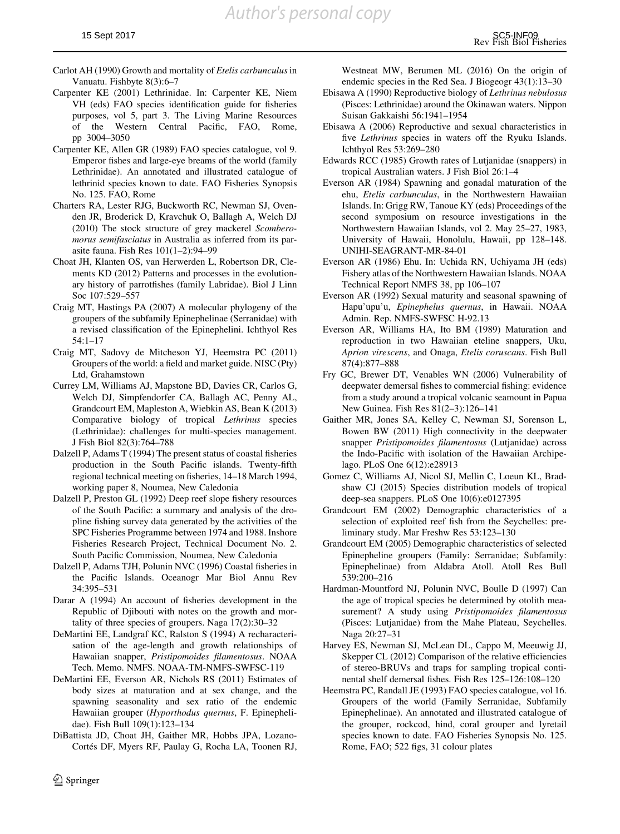- <span id="page-24-0"></span>Carlot AH (1990) Growth and mortality of Etelis carbunculus in Vanuatu. Fishbyte 8(3):6–7
- Carpenter KE (2001) Lethrinidae. In: Carpenter KE, Niem VH (eds) FAO species identification guide for fisheries purposes, vol 5, part 3. The Living Marine Resources of the Western Central Pacific, FAO, Rome, pp 3004–3050
- Carpenter KE, Allen GR (1989) FAO species catalogue, vol 9. Emperor fishes and large-eye breams of the world (family Lethrinidae). An annotated and illustrated catalogue of lethrinid species known to date. FAO Fisheries Synopsis No. 125. FAO, Rome
- Charters RA, Lester RJG, Buckworth RC, Newman SJ, Ovenden JR, Broderick D, Kravchuk O, Ballagh A, Welch DJ (2010) The stock structure of grey mackerel Scomberomorus semifasciatus in Australia as inferred from its parasite fauna. Fish Res 101(1–2):94–99
- Choat JH, Klanten OS, van Herwerden L, Robertson DR, Clements KD (2012) Patterns and processes in the evolutionary history of parrotfishes (family Labridae). Biol J Linn Soc 107:529–557
- Craig MT, Hastings PA (2007) A molecular phylogeny of the groupers of the subfamily Epinephelinae (Serranidae) with a revised classification of the Epinephelini. Ichthyol Res 54:1–17
- Craig MT, Sadovy de Mitcheson YJ, Heemstra PC (2011) Groupers of the world: a field and market guide. NISC (Pty) Ltd, Grahamstown
- Currey LM, Williams AJ, Mapstone BD, Davies CR, Carlos G, Welch DJ, Simpfendorfer CA, Ballagh AC, Penny AL, Grandcourt EM, Mapleston A, Wiebkin AS, Bean K (2013) Comparative biology of tropical Lethrinus species (Lethrinidae): challenges for multi-species management. J Fish Biol 82(3):764–788
- Dalzell P, Adams T (1994) The present status of coastal fisheries production in the South Pacific islands. Twenty-fifth regional technical meeting on fisheries, 14–18 March 1994, working paper 8, Noumea, New Caledonia
- Dalzell P, Preston GL (1992) Deep reef slope fishery resources of the South Pacific: a summary and analysis of the dropline fishing survey data generated by the activities of the SPC Fisheries Programme between 1974 and 1988. Inshore Fisheries Research Project, Technical Document No. 2. South Pacific Commission, Noumea, New Caledonia
- Dalzell P, Adams TJH, Polunin NVC (1996) Coastal fisheries in the Pacific Islands. Oceanogr Mar Biol Annu Rev 34:395–531
- Darar A (1994) An account of fisheries development in the Republic of Djibouti with notes on the growth and mortality of three species of groupers. Naga 17(2):30–32
- DeMartini EE, Landgraf KC, Ralston S (1994) A recharacterisation of the age-length and growth relationships of Hawaiian snapper, Pristipomoides filamentosus. NOAA Tech. Memo. NMFS. NOAA-TM-NMFS-SWFSC-119
- DeMartini EE, Everson AR, Nichols RS (2011) Estimates of body sizes at maturation and at sex change, and the spawning seasonality and sex ratio of the endemic Hawaiian grouper (Hyporthodus quernus, F. Epinephelidae). Fish Bull 109(1):123–134
- DiBattista JD, Choat JH, Gaither MR, Hobbs JPA, Lozano-Cortés DF, Myers RF, Paulay G, Rocha LA, Toonen RJ,

Westneat MW, Berumen ML (2016) On the origin of endemic species in the Red Sea. J Biogeogr 43(1):13–30

- Ebisawa A (1990) Reproductive biology of Lethrinus nebulosus (Pisces: Lethrinidae) around the Okinawan waters. Nippon Suisan Gakkaishi 56:1941–1954
- Ebisawa A (2006) Reproductive and sexual characteristics in five Lethrinus species in waters off the Ryuku Islands. Ichthyol Res 53:269–280
- Edwards RCC (1985) Growth rates of Lutjanidae (snappers) in tropical Australian waters. J Fish Biol 26:1–4
- Everson AR (1984) Spawning and gonadal maturation of the ehu, Etelis carbunculus, in the Northwestern Hawaiian Islands. In: Grigg RW, Tanoue KY (eds) Proceedings of the second symposium on resource investigations in the Northwestern Hawaiian Islands, vol 2. May 25–27, 1983, University of Hawaii, Honolulu, Hawaii, pp 128–148. UNIHI-SEAGRANT-MR-84-01
- Everson AR (1986) Ehu. In: Uchida RN, Uchiyama JH (eds) Fishery atlas of the Northwestern Hawaiian Islands. NOAA Technical Report NMFS 38, pp 106–107
- Everson AR (1992) Sexual maturity and seasonal spawning of Hapu'upu'u, Epinephelus quernus, in Hawaii. NOAA Admin. Rep. NMFS-SWFSC H-92.13
- Everson AR, Williams HA, Ito BM (1989) Maturation and reproduction in two Hawaiian eteline snappers, Uku, Aprion virescens, and Onaga, Etelis coruscans. Fish Bull 87(4):877–888
- Fry GC, Brewer DT, Venables WN (2006) Vulnerability of deepwater demersal fishes to commercial fishing: evidence from a study around a tropical volcanic seamount in Papua New Guinea. Fish Res 81(2–3):126–141
- Gaither MR, Jones SA, Kelley C, Newman SJ, Sorenson L, Bowen BW (2011) High connectivity in the deepwater snapper Pristipomoides filamentosus (Lutjanidae) across the Indo-Pacific with isolation of the Hawaiian Archipelago. PLoS One 6(12):e28913
- Gomez C, Williams AJ, Nicol SJ, Mellin C, Loeun KL, Bradshaw CJ (2015) Species distribution models of tropical deep-sea snappers. PLoS One 10(6):e0127395
- Grandcourt EM (2002) Demographic characteristics of a selection of exploited reef fish from the Seychelles: preliminary study. Mar Freshw Res 53:123–130
- Grandcourt EM (2005) Demographic characteristics of selected Epinepheline groupers (Family: Serranidae; Subfamily: Epinephelinae) from Aldabra Atoll. Atoll Res Bull 539:200–216
- Hardman-Mountford NJ, Polunin NVC, Boulle D (1997) Can the age of tropical species be determined by otolith measurement? A study using Pristipomoides filamentosus (Pisces: Lutjanidae) from the Mahe Plateau, Seychelles. Naga 20:27–31
- Harvey ES, Newman SJ, McLean DL, Cappo M, Meeuwig JJ, Skepper CL (2012) Comparison of the relative efficiencies of stereo-BRUVs and traps for sampling tropical continental shelf demersal fishes. Fish Res 125–126:108–120
- Heemstra PC, Randall JE (1993) FAO species catalogue, vol 16. Groupers of the world (Family Serranidae, Subfamily Epinephelinae). An annotated and illustrated catalogue of the grouper, rockcod, hind, coral grouper and lyretail species known to date. FAO Fisheries Synopsis No. 125. Rome, FAO; 522 figs, 31 colour plates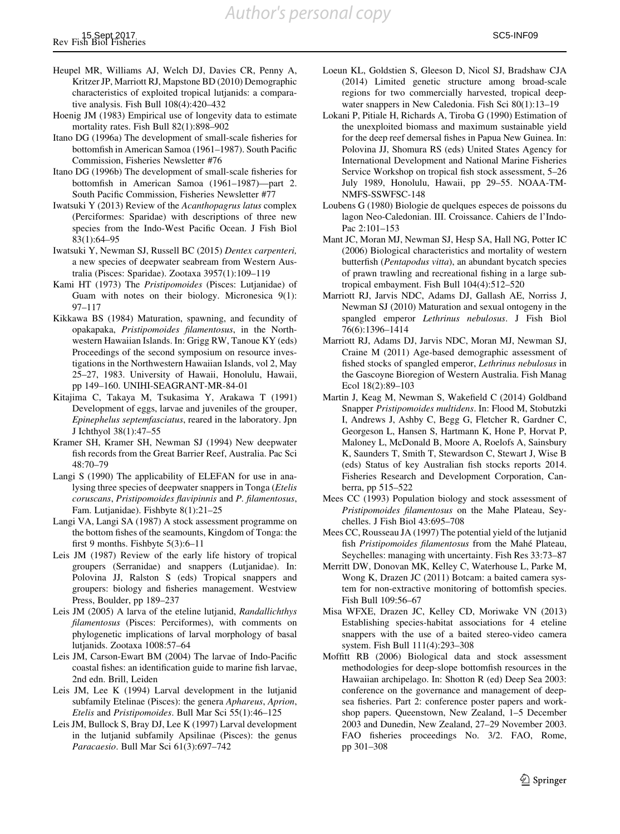*Author's personal copy*

- <span id="page-25-0"></span>Heupel MR, Williams AJ, Welch DJ, Davies CR, Penny A, Kritzer JP, Marriott RJ, Mapstone BD (2010) Demographic characteristics of exploited tropical lutjanids: a comparative analysis. Fish Bull 108(4):420–432
- Hoenig JM (1983) Empirical use of longevity data to estimate mortality rates. Fish Bull 82(1):898–902
- Itano DG (1996a) The development of small-scale fisheries for bottomfish in American Samoa (1961–1987). South Pacific Commission, Fisheries Newsletter #76
- Itano DG (1996b) The development of small-scale fisheries for bottomfish in American Samoa (1961–1987)—part 2. South Pacific Commission, Fisheries Newsletter #77
- Iwatsuki Y (2013) Review of the Acanthopagrus latus complex (Perciformes: Sparidae) with descriptions of three new species from the Indo-West Pacific Ocean. J Fish Biol 83(1):64–95
- Iwatsuki Y, Newman SJ, Russell BC (2015) Dentex carpenteri, a new species of deepwater seabream from Western Australia (Pisces: Sparidae). Zootaxa 3957(1):109–119
- Kami HT (1973) The Pristipomoides (Pisces: Lutjanidae) of Guam with notes on their biology. Micronesica 9(1): 97–117
- Kikkawa BS (1984) Maturation, spawning, and fecundity of opakapaka, Pristipomoides filamentosus, in the Northwestern Hawaiian Islands. In: Grigg RW, Tanoue KY (eds) Proceedings of the second symposium on resource investigations in the Northwestern Hawaiian Islands, vol 2, May 25–27, 1983. University of Hawaii, Honolulu, Hawaii, pp 149–160. UNIHI-SEAGRANT-MR-84-01
- Kitajima C, Takaya M, Tsukasima Y, Arakawa T (1991) Development of eggs, larvae and juveniles of the grouper, Epinephelus septemfasciatus, reared in the laboratory. Jpn J Ichthyol 38(1):47–55
- Kramer SH, Kramer SH, Newman SJ (1994) New deepwater fish records from the Great Barrier Reef, Australia. Pac Sci 48:70–79
- Langi S (1990) The applicability of ELEFAN for use in analysing three species of deepwater snappers in Tonga (Etelis coruscans, Pristipomoides flavipinnis and P. filamentosus, Fam. Lutjanidae). Fishbyte 8(1):21–25
- Langi VA, Langi SA (1987) A stock assessment programme on the bottom fishes of the seamounts, Kingdom of Tonga: the first 9 months. Fishbyte 5(3):6–11
- Leis JM (1987) Review of the early life history of tropical groupers (Serranidae) and snappers (Lutjanidae). In: Polovina JJ, Ralston S (eds) Tropical snappers and groupers: biology and fisheries management. Westview Press, Boulder, pp 189–237
- Leis JM (2005) A larva of the eteline lutjanid, Randallichthys filamentosus (Pisces: Perciformes), with comments on phylogenetic implications of larval morphology of basal lutjanids. Zootaxa 1008:57–64
- Leis JM, Carson-Ewart BM (2004) The larvae of Indo-Pacific coastal fishes: an identification guide to marine fish larvae, 2nd edn. Brill, Leiden
- Leis JM, Lee K (1994) Larval development in the lutjanid subfamily Etelinae (Pisces): the genera Aphareus, Aprion, Etelis and Pristipomoides. Bull Mar Sci 55(1):46–125
- Leis JM, Bullock S, Bray DJ, Lee K (1997) Larval development in the lutjanid subfamily Apsilinae (Pisces): the genus Paracaesio. Bull Mar Sci 61(3):697–742
- Loeun KL, Goldstien S, Gleeson D, Nicol SJ, Bradshaw CJA (2014) Limited genetic structure among broad-scale regions for two commercially harvested, tropical deepwater snappers in New Caledonia. Fish Sci 80(1):13–19
- Lokani P, Pitiale H, Richards A, Tiroba G (1990) Estimation of the unexploited biomass and maximum sustainable yield for the deep reef demersal fishes in Papua New Guinea. In: Polovina JJ, Shomura RS (eds) United States Agency for International Development and National Marine Fisheries Service Workshop on tropical fish stock assessment, 5–26 July 1989, Honolulu, Hawaii, pp 29–55. NOAA-TM-NMFS-SSWFSC-148
- Loubens G (1980) Biologie de quelques especes de poissons du lagon Neo-Caledonian. III. Croissance. Cahiers de l'Indo-Pac 2:101–153
- Mant JC, Moran MJ, Newman SJ, Hesp SA, Hall NG, Potter IC (2006) Biological characteristics and mortality of western butterfish (Pentapodus vitta), an abundant bycatch species of prawn trawling and recreational fishing in a large subtropical embayment. Fish Bull 104(4):512–520
- Marriott RJ, Jarvis NDC, Adams DJ, Gallash AE, Norriss J, Newman SJ (2010) Maturation and sexual ontogeny in the spangled emperor Lethrinus nebulosus. J Fish Biol 76(6):1396–1414
- Marriott RJ, Adams DJ, Jarvis NDC, Moran MJ, Newman SJ, Craine M (2011) Age-based demographic assessment of fished stocks of spangled emperor, Lethrinus nebulosus in the Gascoyne Bioregion of Western Australia. Fish Manag Ecol 18(2):89–103
- Martin J, Keag M, Newman S, Wakefield C (2014) Goldband Snapper Pristipomoides multidens. In: Flood M, Stobutzki I, Andrews J, Ashby C, Begg G, Fletcher R, Gardner C, Georgeson L, Hansen S, Hartmann K, Hone P, Horvat P, Maloney L, McDonald B, Moore A, Roelofs A, Sainsbury K, Saunders T, Smith T, Stewardson C, Stewart J, Wise B (eds) Status of key Australian fish stocks reports 2014. Fisheries Research and Development Corporation, Canberra, pp 515–522
- Mees CC (1993) Population biology and stock assessment of Pristipomoides filamentosus on the Mahe Plateau, Seychelles. J Fish Biol 43:695–708
- Mees CC, Rousseau JA (1997) The potential yield of the lutjanid fish Pristipomoides filamentosus from the Mahé Plateau, Seychelles: managing with uncertainty. Fish Res 33:73–87
- Merritt DW, Donovan MK, Kelley C, Waterhouse L, Parke M, Wong K, Drazen JC (2011) Botcam: a baited camera system for non-extractive monitoring of bottomfish species. Fish Bull 109:56–67
- Misa WFXE, Drazen JC, Kelley CD, Moriwake VN (2013) Establishing species-habitat associations for 4 eteline snappers with the use of a baited stereo-video camera system. Fish Bull 111(4):293–308
- Moffitt RB (2006) Biological data and stock assessment methodologies for deep-slope bottomfish resources in the Hawaiian archipelago. In: Shotton R (ed) Deep Sea 2003: conference on the governance and management of deepsea fisheries. Part 2: conference poster papers and workshop papers. Queenstown, New Zealand, 1–5 December 2003 and Dunedin, New Zealand, 27–29 November 2003. FAO fisheries proceedings No. 3/2. FAO, Rome, pp 301–308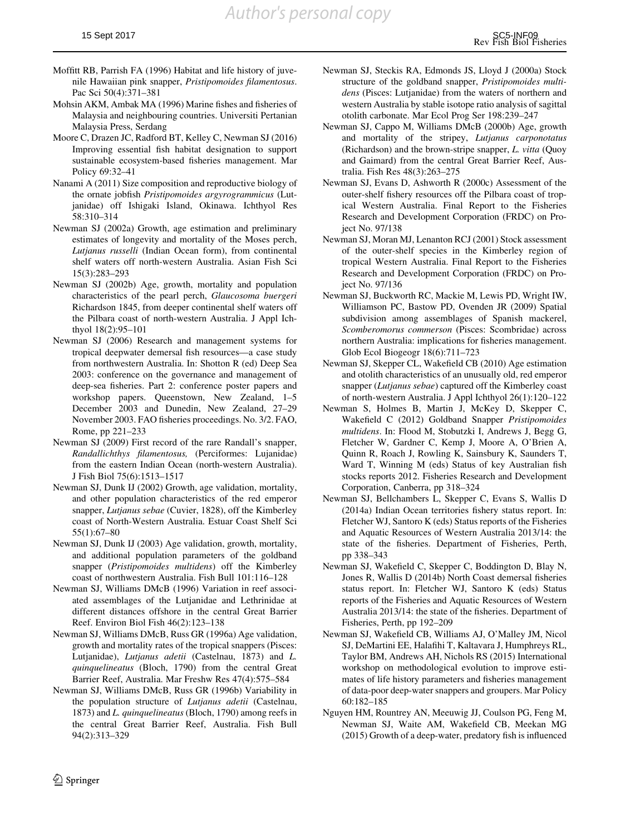- <span id="page-26-0"></span>Moffitt RB, Parrish FA (1996) Habitat and life history of juvenile Hawaiian pink snapper, Pristipomoides filamentosus. Pac Sci 50(4):371–381
- Mohsin AKM, Ambak MA (1996) Marine fishes and fisheries of Malaysia and neighbouring countries. Universiti Pertanian Malaysia Press, Serdang
- Moore C, Drazen JC, Radford BT, Kelley C, Newman SJ (2016) Improving essential fish habitat designation to support sustainable ecosystem-based fisheries management. Mar Policy 69:32–41
- Nanami A (2011) Size composition and reproductive biology of the ornate jobfish Pristipomoides argyrogrammicus (Lutjanidae) off Ishigaki Island, Okinawa. Ichthyol Res 58:310–314
- Newman SJ (2002a) Growth, age estimation and preliminary estimates of longevity and mortality of the Moses perch, Lutjanus russelli (Indian Ocean form), from continental shelf waters off north-western Australia. Asian Fish Sci 15(3):283–293
- Newman SJ (2002b) Age, growth, mortality and population characteristics of the pearl perch, Glaucosoma buergeri Richardson 1845, from deeper continental shelf waters off the Pilbara coast of north-western Australia. J Appl Ichthyol 18(2):95–101
- Newman SJ (2006) Research and management systems for tropical deepwater demersal fish resources—a case study from northwestern Australia. In: Shotton R (ed) Deep Sea 2003: conference on the governance and management of deep-sea fisheries. Part 2: conference poster papers and workshop papers. Queenstown, New Zealand, 1–5 December 2003 and Dunedin, New Zealand, 27–29 November 2003. FAO fisheries proceedings. No. 3/2. FAO, Rome, pp 221–233
- Newman SJ (2009) First record of the rare Randall's snapper, Randallichthys filamentosus, (Perciformes: Lujanidae) from the eastern Indian Ocean (north-western Australia). J Fish Biol 75(6):1513–1517
- Newman SJ, Dunk IJ (2002) Growth, age validation, mortality, and other population characteristics of the red emperor snapper, Lutjanus sebae (Cuvier, 1828), off the Kimberley coast of North-Western Australia. Estuar Coast Shelf Sci 55(1):67–80
- Newman SJ, Dunk IJ (2003) Age validation, growth, mortality, and additional population parameters of the goldband snapper (Pristipomoides multidens) off the Kimberley coast of northwestern Australia. Fish Bull 101:116–128
- Newman SJ, Williams DMcB (1996) Variation in reef associated assemblages of the Lutjanidae and Lethrinidae at different distances offshore in the central Great Barrier Reef. Environ Biol Fish 46(2):123–138
- Newman SJ, Williams DMcB, Russ GR (1996a) Age validation, growth and mortality rates of the tropical snappers (Pisces: Lutjanidae), Lutjanus adetii (Castelnau, 1873) and L. quinquelineatus (Bloch, 1790) from the central Great Barrier Reef, Australia. Mar Freshw Res 47(4):575–584
- Newman SJ, Williams DMcB, Russ GR (1996b) Variability in the population structure of Lutjanus adetii (Castelnau, 1873) and L. quinquelineatus (Bloch, 1790) among reefs in the central Great Barrier Reef, Australia. Fish Bull 94(2):313–329
- Newman SJ, Steckis RA, Edmonds JS, Lloyd J (2000a) Stock structure of the goldband snapper, Pristipomoides multidens (Pisces: Lutjanidae) from the waters of northern and western Australia by stable isotope ratio analysis of sagittal otolith carbonate. Mar Ecol Prog Ser 198:239–247
- Newman SJ, Cappo M, Williams DMcB (2000b) Age, growth and mortality of the stripey, Lutjanus carponotatus (Richardson) and the brown-stripe snapper, L. vitta (Quoy and Gaimard) from the central Great Barrier Reef, Australia. Fish Res 48(3):263–275
- Newman SJ, Evans D, Ashworth R (2000c) Assessment of the outer-shelf fishery resources off the Pilbara coast of tropical Western Australia. Final Report to the Fisheries Research and Development Corporation (FRDC) on Project No. 97/138
- Newman SJ, Moran MJ, Lenanton RCJ (2001) Stock assessment of the outer-shelf species in the Kimberley region of tropical Western Australia. Final Report to the Fisheries Research and Development Corporation (FRDC) on Project No. 97/136
- Newman SJ, Buckworth RC, Mackie M, Lewis PD, Wright IW, Williamson PC, Bastow PD, Ovenden JR (2009) Spatial subdivision among assemblages of Spanish mackerel, Scomberomorus commerson (Pisces: Scombridae) across northern Australia: implications for fisheries management. Glob Ecol Biogeogr 18(6):711–723
- Newman SJ, Skepper CL, Wakefield CB (2010) Age estimation and otolith characteristics of an unusually old, red emperor snapper (Lutjanus sebae) captured off the Kimberley coast of north-western Australia. J Appl Ichthyol 26(1):120–122
- Newman S, Holmes B, Martin J, McKey D, Skepper C, Wakefield C (2012) Goldband Snapper Pristipomoides multidens. In: Flood M, Stobutzki I, Andrews J, Begg G, Fletcher W, Gardner C, Kemp J, Moore A, O'Brien A, Quinn R, Roach J, Rowling K, Sainsbury K, Saunders T, Ward T, Winning M (eds) Status of key Australian fish stocks reports 2012. Fisheries Research and Development Corporation, Canberra, pp 318–324
- Newman SJ, Bellchambers L, Skepper C, Evans S, Wallis D (2014a) Indian Ocean territories fishery status report. In: Fletcher WJ, Santoro K (eds) Status reports of the Fisheries and Aquatic Resources of Western Australia 2013/14: the state of the fisheries. Department of Fisheries, Perth, pp 338–343
- Newman SJ, Wakefield C, Skepper C, Boddington D, Blay N, Jones R, Wallis D (2014b) North Coast demersal fisheries status report. In: Fletcher WJ, Santoro K (eds) Status reports of the Fisheries and Aquatic Resources of Western Australia 2013/14: the state of the fisheries. Department of Fisheries, Perth, pp 192–209
- Newman SJ, Wakefield CB, Williams AJ, O'Malley JM, Nicol SJ, DeMartini EE, Halafihi T, Kaltavara J, Humphreys RL, Taylor BM, Andrews AH, Nichols RS (2015) International workshop on methodological evolution to improve estimates of life history parameters and fisheries management of data-poor deep-water snappers and groupers. Mar Policy 60:182–185
- Nguyen HM, Rountrey AN, Meeuwig JJ, Coulson PG, Feng M, Newman SJ, Waite AM, Wakefield CB, Meekan MG (2015) Growth of a deep-water, predatory fish is influenced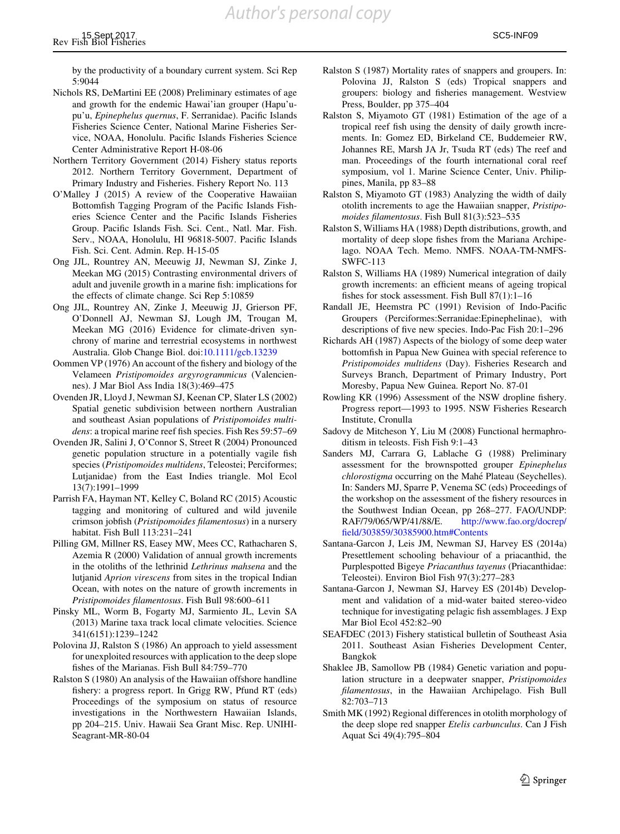<span id="page-27-0"></span>by the productivity of a boundary current system. Sci Rep 5:9044

- Nichols RS, DeMartini EE (2008) Preliminary estimates of age and growth for the endemic Hawai'ian grouper (Hapu'upu'u, Epinephelus quernus, F. Serranidae). Pacific Islands Fisheries Science Center, National Marine Fisheries Service, NOAA, Honolulu. Pacific Islands Fisheries Science Center Administrative Report H-08-06
- Northern Territory Government (2014) Fishery status reports 2012. Northern Territory Government, Department of Primary Industry and Fisheries. Fishery Report No. 113
- O'Malley J (2015) A review of the Cooperative Hawaiian Bottomfish Tagging Program of the Pacific Islands Fisheries Science Center and the Pacific Islands Fisheries Group. Pacific Islands Fish. Sci. Cent., Natl. Mar. Fish. Serv., NOAA, Honolulu, HI 96818-5007. Pacific Islands Fish. Sci. Cent. Admin. Rep. H-15-05
- Ong JJL, Rountrey AN, Meeuwig JJ, Newman SJ, Zinke J, Meekan MG (2015) Contrasting environmental drivers of adult and juvenile growth in a marine fish: implications for the effects of climate change. Sci Rep 5:10859
- Ong JJL, Rountrey AN, Zinke J, Meeuwig JJ, Grierson PF, O'Donnell AJ, Newman SJ, Lough JM, Trougan M, Meekan MG (2016) Evidence for climate-driven synchrony of marine and terrestrial ecosystems in northwest Australia. Glob Change Biol. doi[:10.1111/gcb.13239](http://dx.doi.org/10.1111/gcb.13239)
- Oommen VP (1976) An account of the fishery and biology of the Velameen Pristipomoides argyrogrammicus (Valenciennes). J Mar Biol Ass India 18(3):469–475
- Ovenden JR, Lloyd J, Newman SJ, Keenan CP, Slater LS (2002) Spatial genetic subdivision between northern Australian and southeast Asian populations of Pristipomoides multidens: a tropical marine reef fish species. Fish Res 59:57–69
- Ovenden JR, Salini J, O'Connor S, Street R (2004) Pronounced genetic population structure in a potentially vagile fish species (Pristipomoides multidens, Teleostei; Perciformes; Lutjanidae) from the East Indies triangle. Mol Ecol 13(7):1991–1999
- Parrish FA, Hayman NT, Kelley C, Boland RC (2015) Acoustic tagging and monitoring of cultured and wild juvenile crimson jobfish (Pristipomoides filamentosus) in a nursery habitat. Fish Bull 113:231–241
- Pilling GM, Millner RS, Easey MW, Mees CC, Rathacharen S, Azemia R (2000) Validation of annual growth increments in the otoliths of the lethrinid Lethrinus mahsena and the lutjanid Aprion virescens from sites in the tropical Indian Ocean, with notes on the nature of growth increments in Pristipomoides filamentosus. Fish Bull 98:600–611
- Pinsky ML, Worm B, Fogarty MJ, Sarmiento JL, Levin SA (2013) Marine taxa track local climate velocities. Science 341(6151):1239–1242
- Polovina JJ, Ralston S (1986) An approach to yield assessment for unexploited resources with application to the deep slope fishes of the Marianas. Fish Bull 84:759–770
- Ralston S (1980) An analysis of the Hawaiian offshore handline fishery: a progress report. In Grigg RW, Pfund RT (eds) Proceedings of the symposium on status of resource investigations in the Northwestern Hawaiian Islands, pp 204–215. Univ. Hawaii Sea Grant Misc. Rep. UNIHI-Seagrant-MR-80-04
- Ralston S (1987) Mortality rates of snappers and groupers. In: Polovina JJ, Ralston S (eds) Tropical snappers and groupers: biology and fisheries management. Westview Press, Boulder, pp 375–404
- Ralston S, Miyamoto GT (1981) Estimation of the age of a tropical reef fish using the density of daily growth increments. In: Gomez ED, Birkeland CE, Buddemeier RW, Johannes RE, Marsh JA Jr, Tsuda RT (eds) The reef and man. Proceedings of the fourth international coral reef symposium, vol 1. Marine Science Center, Univ. Philippines, Manila, pp 83–88
- Ralston S, Miyamoto GT (1983) Analyzing the width of daily otolith increments to age the Hawaiian snapper, Pristipomoides filamentosus. Fish Bull 81(3):523–535
- Ralston S, Williams HA (1988) Depth distributions, growth, and mortality of deep slope fishes from the Mariana Archipelago. NOAA Tech. Memo. NMFS. NOAA-TM-NMFS-SWFC-113
- Ralston S, Williams HA (1989) Numerical integration of daily growth increments: an efficient means of ageing tropical fishes for stock assessment. Fish Bull 87(1):1–16
- Randall JE, Heemstra PC (1991) Revision of Indo-Pacific Groupers (Perciformes:Serranidae:Epinephelinae), with descriptions of five new species. Indo-Pac Fish 20:1–296
- Richards AH (1987) Aspects of the biology of some deep water bottomfish in Papua New Guinea with special reference to Pristipomoides multidens (Day). Fisheries Research and Surveys Branch, Department of Primary Industry, Port Moresby, Papua New Guinea. Report No. 87-01
- Rowling KR (1996) Assessment of the NSW dropline fishery. Progress report—1993 to 1995. NSW Fisheries Research Institute, Cronulla
- Sadovy de Mitcheson Y, Liu M (2008) Functional hermaphroditism in teleosts. Fish Fish 9:1–43
- Sanders MJ, Carrara G, Lablache G (1988) Preliminary assessment for the brownspotted grouper Epinephelus chlorostigma occurring on the Mahé Plateau (Seychelles). In: Sanders MJ, Sparre P, Venema SC (eds) Proceedings of the workshop on the assessment of the fishery resources in the Southwest Indian Ocean, pp 268–277. FAO/UNDP: RAF/79/065/WP/41/88/E. [http://www.fao.org/docrep/](http://www.fao.org/docrep/field/303859/30385900.htm%23Contents) [field/303859/30385900.htm#Contents](http://www.fao.org/docrep/field/303859/30385900.htm%23Contents)
- Santana-Garcon J, Leis JM, Newman SJ, Harvey ES (2014a) Presettlement schooling behaviour of a priacanthid, the Purplespotted Bigeye Priacanthus tayenus (Priacanthidae: Teleostei). Environ Biol Fish 97(3):277–283
- Santana-Garcon J, Newman SJ, Harvey ES (2014b) Development and validation of a mid-water baited stereo-video technique for investigating pelagic fish assemblages. J Exp Mar Biol Ecol 452:82–90
- SEAFDEC (2013) Fishery statistical bulletin of Southeast Asia 2011. Southeast Asian Fisheries Development Center, Bangkok
- Shaklee JB, Samollow PB (1984) Genetic variation and population structure in a deepwater snapper, Pristipomoides filamentosus, in the Hawaiian Archipelago. Fish Bull 82:703–713
- Smith MK (1992) Regional differences in otolith morphology of the deep slope red snapper Etelis carbunculus. Can J Fish Aquat Sci 49(4):795–804